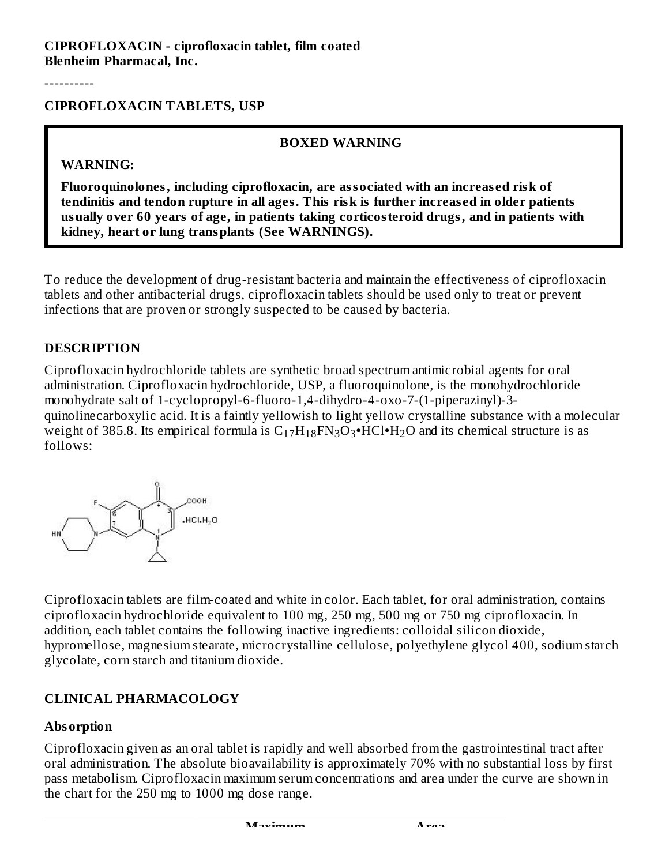----------

### **CIPROFLOXACIN TABLETS, USP**

### **BOXED WARNING**

### **WARNING:**

**Fluoroquinolones, including ciprofloxacin, are associated with an increas ed risk of tendinitis and tendon rupture in all ages. This risk is further increas ed in older patients usually over 60 years of age, in patients taking corticosteroid drugs, and in patients with kidney, heart or lung transplants (See WARNINGS).**

To reduce the development of drug-resistant bacteria and maintain the effectiveness of ciprofloxacin tablets and other antibacterial drugs, ciprofloxacin tablets should be used only to treat or prevent infections that are proven or strongly suspected to be caused by bacteria.

### **DESCRIPTION**

Ciprofloxacin hydrochloride tablets are synthetic broad spectrum antimicrobial agents for oral administration. Ciprofloxacin hydrochloride, USP, a fluoroquinolone, is the monohydrochloride monohydrate salt of 1-cyclopropyl-6-fluoro-1,4-dihydro-4-oxo-7-(1-piperazinyl)-3 quinolinecarboxylic acid. It is a faintly yellowish to light yellow crystalline substance with a molecular weight of 385.8. Its empirical formula is  $\rm{C_{17}H_{18}FN_{3}O_{3}\bullet HCl\bullet H_{2}O}$  and its chemical structure is as follows:



Ciprofloxacin tablets are film-coated and white in color. Each tablet, for oral administration, contains ciprofloxacin hydrochloride equivalent to 100 mg, 250 mg, 500 mg or 750 mg ciprofloxacin. In addition, each tablet contains the following inactive ingredients: colloidal silicon dioxide, hypromellose, magnesium stearate, microcrystalline cellulose, polyethylene glycol 400, sodium starch glycolate, corn starch and titanium dioxide.

### **CLINICAL PHARMACOLOGY**

### **Absorption**

Ciprofloxacin given as an oral tablet is rapidly and well absorbed from the gastrointestinal tract after oral administration. The absolute bioavailability is approximately 70% with no substantial loss by first pass metabolism. Ciprofloxacin maximum serum concentrations and area under the curve are shown in the chart for the 250 mg to 1000 mg dose range.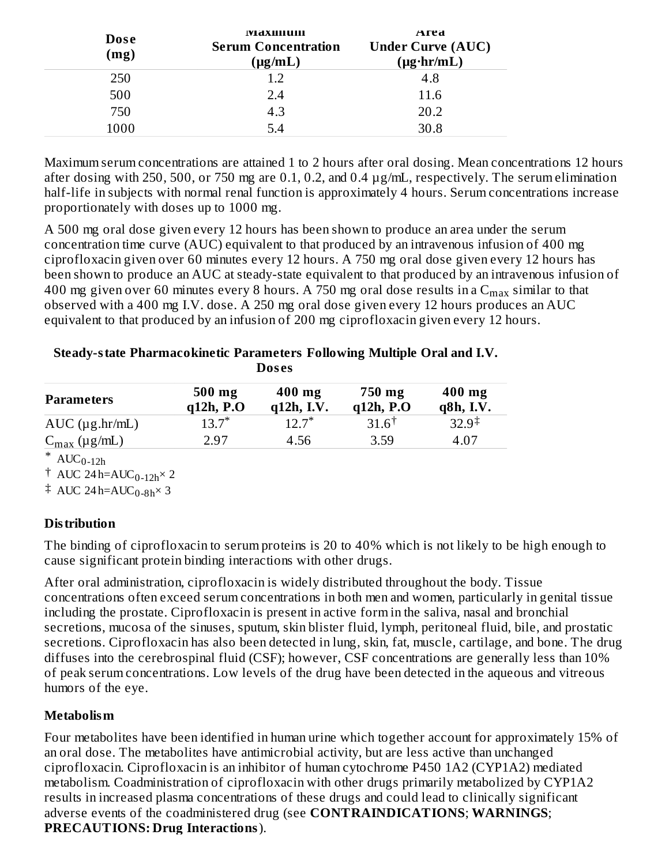| <b>Dose</b><br>(mg) | IVIAXIIIIUIII<br><b>Serum Concentration</b><br>$(\mu g/mL)$ | Area<br><b>Under Curve (AUC)</b><br>$(\mu g \cdot hr/mL)$ |
|---------------------|-------------------------------------------------------------|-----------------------------------------------------------|
| 250                 | 1.2                                                         | 4.8                                                       |
| 500                 | 2.4                                                         | 11.6                                                      |
| 750                 | 4.3                                                         | 20.2                                                      |
| 1000                | 5.4                                                         | 30.8                                                      |

Maximum serum concentrations are attained 1 to 2 hours after oral dosing. Mean concentrations 12 hours after dosing with 250, 500, or 750 mg are 0.1, 0.2, and 0.4 µg/mL, respectively. The serum elimination half-life in subjects with normal renal function is approximately 4 hours. Serum concentrations increase proportionately with doses up to 1000 mg.

A 500 mg oral dose given every 12 hours has been shown to produce an area under the serum concentration time curve (AUC) equivalent to that produced by an intravenous infusion of 400 mg ciprofloxacin given over 60 minutes every 12 hours. A 750 mg oral dose given every 12 hours has been shown to produce an AUC at steady-state equivalent to that produced by an intravenous infusion of 400 mg given over 60 minutes every 8 hours. A 750 mg oral dose results in a  $\rm{C_{max}}$  similar to that observed with a 400 mg I.V. dose. A 250 mg oral dose given every 12 hours produces an AUC equivalent to that produced by an infusion of 200 mg ciprofloxacin given every 12 hours.

#### **Steady-state Pharmacokinetic Parameters Following Multiple Oral and I.V. Dos es**

|                          |                     | <b>DUJLJ</b>           |                     |                     |
|--------------------------|---------------------|------------------------|---------------------|---------------------|
| <b>Parameters</b>        | 500 mg<br>q12h, P.O | $400$ mg<br>q12h, I.V. | 750 mg<br>q12h, P.O | 400 mg<br>q8h, I.V. |
| $AUC$ ( $\mu$ g.hr/mL)   | $13.7*$             | $12.7^*$               | $31.6^{\dagger}$    | $32.9^{\ddagger}$   |
| $C_{\text{max}}$ (µg/mL) | 2.97                | 4.56                   | 3.59                | 4.07                |

 $*$  AUC<sub>0-12h</sub>

 $\dagger$  AUC 24 h=AUC<sub>0-12h</sub>  $\times$  2

 $\ddagger$  AUC 24h=AUC<sub>0-8h</sub>  $\times$  3

### **Distribution**

The binding of ciprofloxacin to serum proteins is 20 to 40% which is not likely to be high enough to cause significant protein binding interactions with other drugs.

After oral administration, ciprofloxacin is widely distributed throughout the body. Tissue concentrations often exceed serum concentrations in both men and women, particularly in genital tissue including the prostate. Ciprofloxacin is present in active form in the saliva, nasal and bronchial secretions, mucosa of the sinuses, sputum, skin blister fluid, lymph, peritoneal fluid, bile, and prostatic secretions. Ciprofloxacin has also been detected in lung, skin, fat, muscle, cartilage, and bone. The drug diffuses into the cerebrospinal fluid (CSF); however, CSF concentrations are generally less than 10% of peak serum concentrations. Low levels of the drug have been detected in the aqueous and vitreous humors of the eye.

### **Metabolism**

Four metabolites have been identified in human urine which together account for approximately 15% of an oral dose. The metabolites have antimicrobial activity, but are less active than unchanged ciprofloxacin. Ciprofloxacin is an inhibitor of human cytochrome P450 1A2 (CYP1A2) mediated metabolism. Coadministration of ciprofloxacin with other drugs primarily metabolized by CYP1A2 results in increased plasma concentrations of these drugs and could lead to clinically significant adverse events of the coadministered drug (see **CONTRAINDICATIONS**; **WARNINGS**; **PRECAUTIONS: Drug Interactions**).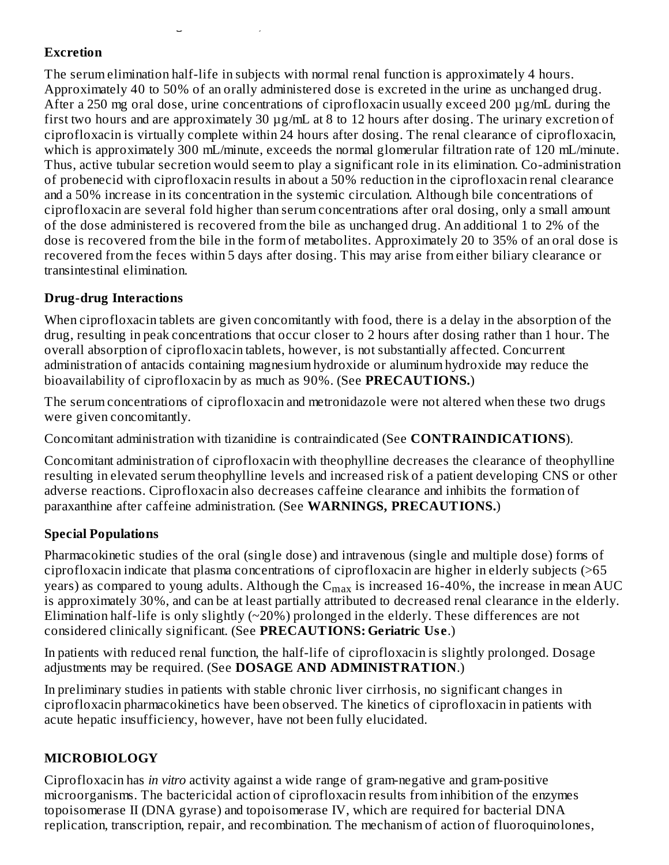## **Excretion**

**PRECAUTIONS: Drug Interactions**).

The serum elimination half-life in subjects with normal renal function is approximately 4 hours. Approximately 40 to 50% of an orally administered dose is excreted in the urine as unchanged drug. After a 250 mg oral dose, urine concentrations of ciprofloxacin usually exceed 200 µg/mL during the first two hours and are approximately 30 µg/mL at 8 to 12 hours after dosing. The urinary excretion of ciprofloxacin is virtually complete within 24 hours after dosing. The renal clearance of ciprofloxacin, which is approximately 300 mL/minute, exceeds the normal glomerular filtration rate of 120 mL/minute. Thus, active tubular secretion would seem to play a significant role in its elimination. Co-administration of probenecid with ciprofloxacin results in about a 50% reduction in the ciprofloxacin renal clearance and a 50% increase in its concentration in the systemic circulation. Although bile concentrations of ciprofloxacin are several fold higher than serum concentrations after oral dosing, only a small amount of the dose administered is recovered from the bile as unchanged drug. An additional 1 to 2% of the dose is recovered from the bile in the form of metabolites. Approximately 20 to 35% of an oral dose is recovered from the feces within 5 days after dosing. This may arise from either biliary clearance or transintestinal elimination.

## **Drug-drug Interactions**

When ciprofloxacin tablets are given concomitantly with food, there is a delay in the absorption of the drug, resulting in peak concentrations that occur closer to 2 hours after dosing rather than 1 hour. The overall absorption of ciprofloxacin tablets, however, is not substantially affected. Concurrent administration of antacids containing magnesium hydroxide or aluminum hydroxide may reduce the bioavailability of ciprofloxacin by as much as 90%. (See **PRECAUTIONS.**)

The serum concentrations of ciprofloxacin and metronidazole were not altered when these two drugs were given concomitantly.

Concomitant administration with tizanidine is contraindicated (See **CONTRAINDICATIONS**).

Concomitant administration of ciprofloxacin with theophylline decreases the clearance of theophylline resulting in elevated serum theophylline levels and increased risk of a patient developing CNS or other adverse reactions. Ciprofloxacin also decreases caffeine clearance and inhibits the formation of paraxanthine after caffeine administration. (See **WARNINGS, PRECAUTIONS.**)

## **Special Populations**

Pharmacokinetic studies of the oral (single dose) and intravenous (single and multiple dose) forms of ciprofloxacin indicate that plasma concentrations of ciprofloxacin are higher in elderly subjects (>65 years) as compared to young adults. Although the  $\rm C_{max}$  is increased 16-40%, the increase in mean AUC is approximately 30%, and can be at least partially attributed to decreased renal clearance in the elderly. Elimination half-life is only slightly  $(\sim 20\%)$  prolonged in the elderly. These differences are not considered clinically significant. (See **PRECAUTIONS: Geriatric Us e**.)

In patients with reduced renal function, the half-life of ciprofloxacin is slightly prolonged. Dosage adjustments may be required. (See **DOSAGE AND ADMINISTRATION**.)

In preliminary studies in patients with stable chronic liver cirrhosis, no significant changes in ciprofloxacin pharmacokinetics have been observed. The kinetics of ciprofloxacin in patients with acute hepatic insufficiency, however, have not been fully elucidated.

## **MICROBIOLOGY**

Ciprofloxacin has *in vitro* activity against a wide range of gram-negative and gram-positive microorganisms. The bactericidal action of ciprofloxacin results from inhibition of the enzymes topoisomerase II (DNA gyrase) and topoisomerase IV, which are required for bacterial DNA replication, transcription, repair, and recombination. The mechanism of action of fluoroquinolones,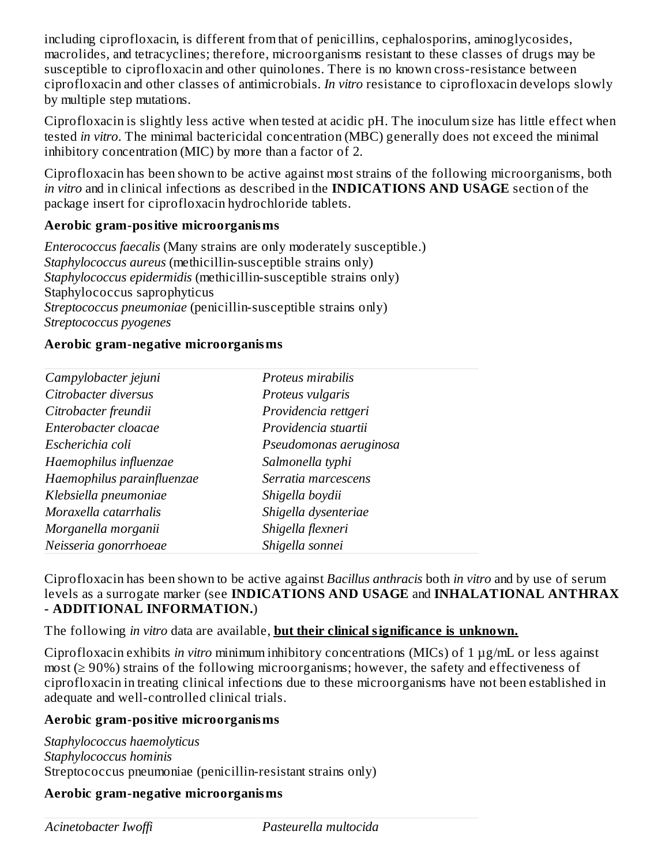including ciprofloxacin, is different from that of penicillins, cephalosporins, aminoglycosides, macrolides, and tetracyclines; therefore, microorganisms resistant to these classes of drugs may be susceptible to ciprofloxacin and other quinolones. There is no known cross-resistance between ciprofloxacin and other classes of antimicrobials. *In vitro* resistance to ciprofloxacin develops slowly by multiple step mutations.

Ciprofloxacin is slightly less active when tested at acidic pH. The inoculum size has little effect when tested *in vitro*. The minimal bactericidal concentration (MBC) generally does not exceed the minimal inhibitory concentration (MIC) by more than a factor of 2.

Ciprofloxacin has been shown to be active against most strains of the following microorganisms, both *in vitro* and in clinical infections as described in the **INDICATIONS AND USAGE** section of the package insert for ciprofloxacin hydrochloride tablets.

## **Aerobic gram-positive microorganisms**

*Enterococcus faecalis* (Many strains are only moderately susceptible.) *Staphylococcus aureus* (methicillin-susceptible strains only) *Staphylococcus epidermidis* (methicillin-susceptible strains only) Staphylococcus saprophyticus *Streptococcus pneumoniae* (penicillin-susceptible strains only) *Streptococcus pyogenes*

### **Aerobic gram-negative microorganisms**

| Proteus mirabilis      |
|------------------------|
| Proteus vulgaris       |
| Providencia rettgeri   |
| Providencia stuartii   |
| Pseudomonas aeruginosa |
| Salmonella typhi       |
| Serratia marcescens    |
| Shigella boydii        |
| Shigella dysenteriae   |
| Shigella flexneri      |
| Shigella sonnei        |
|                        |

Ciprofloxacin has been shown to be active against *Bacillus anthracis* both *in vitro* and by use of serum levels as a surrogate marker (see **INDICATIONS AND USAGE** and **INHALATIONAL ANTHRAX - ADDITIONAL INFORMATION.**)

## The following *in vitro* data are available, **but their clinical significance is unknown.**

Ciprofloxacin exhibits *in vitro* minimum inhibitory concentrations (MICs) of 1 µg/mL or less against most (≥ 90%) strains of the following microorganisms; however, the safety and effectiveness of ciprofloxacin in treating clinical infections due to these microorganisms have not been established in adequate and well-controlled clinical trials.

## **Aerobic gram-positive microorganisms**

*Staphylococcus haemolyticus Staphylococcus hominis* Streptococcus pneumoniae (penicillin-resistant strains only)

### **Aerobic gram-negative microorganisms**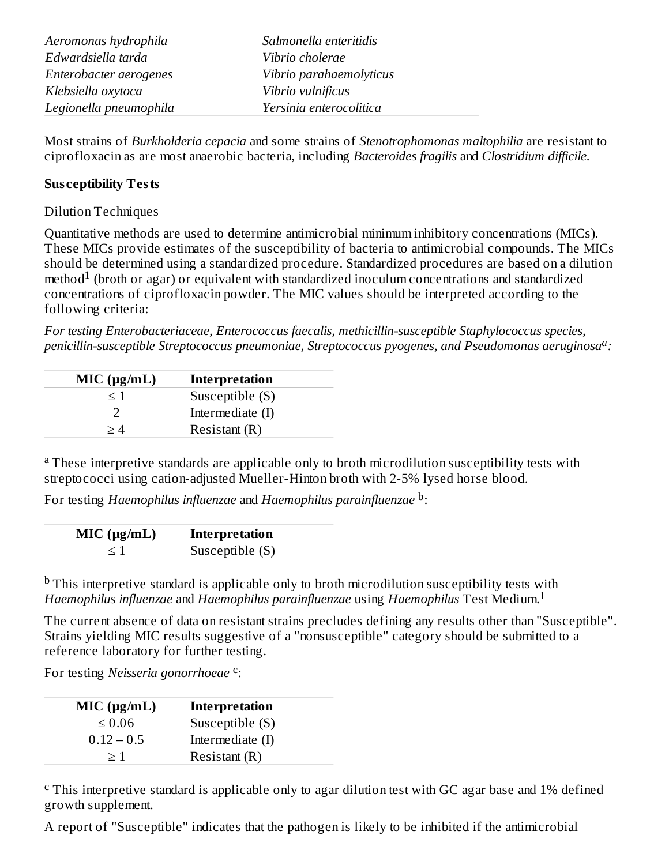| Aeromonas hydrophila   | Salmonella enteritidis  |
|------------------------|-------------------------|
| Edwardsiella tarda     | Vibrio cholerae         |
| Enterobacter aerogenes | Vibrio parahaemolyticus |
| Klebsiella oxytoca     | Vibrio vulnificus       |
| Legionella pneumophila | Yersinia enterocolitica |

Most strains of *Burkholderia cepacia* and some strains of *Stenotrophomonas maltophilia* are resistant to ciprofloxacin as are most anaerobic bacteria, including *Bacteroides fragilis* and *Clostridium difficile.*

### **Sus ceptibility Tests**

### Dilution Techniques

Quantitative methods are used to determine antimicrobial minimum inhibitory concentrations (MICs). These MICs provide estimates of the susceptibility of bacteria to antimicrobial compounds. The MICs should be determined using a standardized procedure. Standardized procedures are based on a dilution  $m$ ethod<sup>1</sup> (broth or agar) or equivalent with standardized inoculum concentrations and standardized concentrations of ciprofloxacin powder. The MIC values should be interpreted according to the following criteria:

*For testing Enterobacteriaceae, Enterococcus faecalis, methicillin-susceptible Staphylococcus species, penicillin-susceptible Streptococcus pneumoniae, Streptococcus pyogenes, and Pseudomonas aeruginosa : a*

| $MIC$ ( $\mu g/mL$ ) | Interpretation   |
|----------------------|------------------|
| $\leq 1$             | Susceptible (S)  |
|                      | Intermediate (I) |
| >4                   | Resistant (R)    |

<sup>a</sup> These interpretive standards are applicable only to broth microdilution susceptibility tests with streptococci using cation-adjusted Mueller-Hinton broth with 2-5% lysed horse blood.

For testing *Haemophilus influenzae* and *Haemophilus parainfluenzae* <sup>b</sup>:

| MIC (µg/mL) | Interpretation  |
|-------------|-----------------|
|             | Susceptible (S) |

 $^{\rm b}$  This interpretive standard is applicable only to broth microdilution susceptibility tests with *Haemophilus influenzae* and *Haemophilus parainfluenzae* using *Haemophilus* Test Medium. 1

The current absence of data on resistant strains precludes defining any results other than "Susceptible". Strains yielding MIC results suggestive of a "nonsusceptible" category should be submitted to a reference laboratory for further testing.

For testing *Neisseria gonorrhoeae*<sup>c</sup>:

| MIC (µg/mL)  | Interpretation   |
|--------------|------------------|
| $\leq 0.06$  | Susceptible (S)  |
| $0.12 - 0.5$ | Intermediate (I) |
| >1           | Resistant (R)    |

<sup>c</sup> This interpretive standard is applicable only to agar dilution test with GC agar base and 1% defined growth supplement.

A report of "Susceptible" indicates that the pathogen is likely to be inhibited if the antimicrobial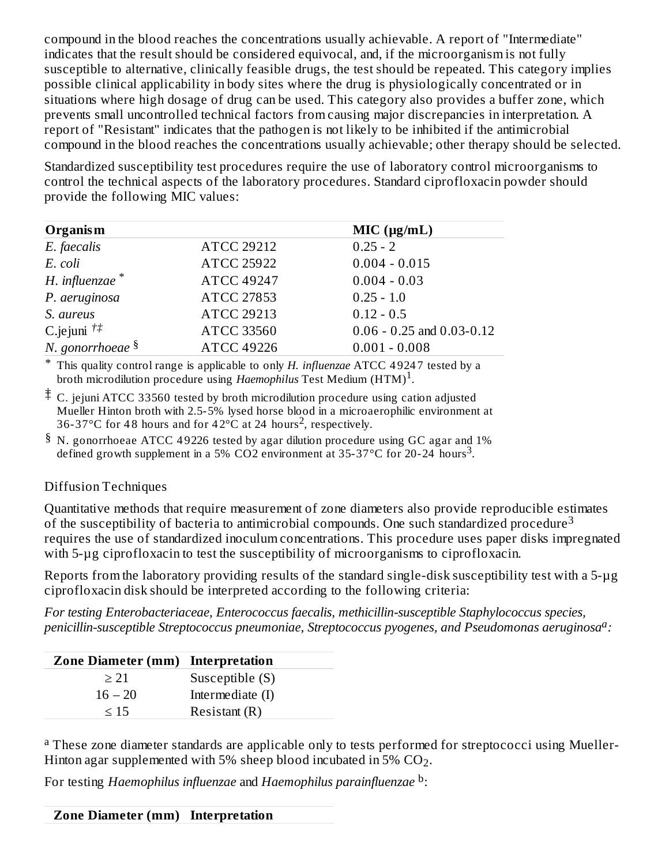compound in the blood reaches the concentrations usually achievable. A report of "Intermediate" indicates that the result should be considered equivocal, and, if the microorganism is not fully susceptible to alternative, clinically feasible drugs, the test should be repeated. This category implies possible clinical applicability in body sites where the drug is physiologically concentrated or in situations where high dosage of drug can be used. This category also provides a buffer zone, which prevents small uncontrolled technical factors from causing major discrepancies in interpretation. A report of "Resistant" indicates that the pathogen is not likely to be inhibited if the antimicrobial compound in the blood reaches the concentrations usually achievable; other therapy should be selected.

Standardized susceptibility test procedures require the use of laboratory control microorganisms to control the technical aspects of the laboratory procedures. Standard ciprofloxacin powder should provide the following MIC values:

| Organism                    |                   | $MIC$ ( $\mu g/mL$ )            |
|-----------------------------|-------------------|---------------------------------|
| E. faecalis                 | <b>ATCC 29212</b> | $0.25 - 2$                      |
| E. coli                     | <b>ATCC 25922</b> | $0.004 - 0.015$                 |
| $H.$ influenzae $*$         | <b>ATCC 49247</b> | $0.004 - 0.03$                  |
| P. aeruginosa               | <b>ATCC 27853</b> | $0.25 - 1.0$                    |
| S. aureus                   | <b>ATCC 29213</b> | $0.12 - 0.5$                    |
| C.jejuni $\ddagger\ddagger$ | <b>ATCC 33560</b> | $0.06 - 0.25$ and $0.03 - 0.12$ |
| N. gonorrhoeae $\S$         | <b>ATCC 49226</b> | $0.001 - 0.008$                 |

\* This quality control range is applicable to only *H. influenzae* ATCC 4 924 7 tested by a broth microdilution procedure using *Haemophilus* Test Medium (HTM)<sup>1</sup>.

†‡ C. jejuni ATCC 33560 tested by broth microdilution procedure using cation adjusted Mueller Hinton broth with 2.5-5% lysed horse blood in a microaerophilic environment at 36-37°C for 48 hours and for 42°C at 24 hours<sup>2</sup>, respectively.

§ N. gonorrhoeae ATCC 4 9226 tested by agar dilution procedure using GC agar and 1% defined growth supplement in a 5% CO2 environment at 35-37 $\degree$ C for 20-24 hours<sup>3</sup>.

### Diffusion Techniques

Quantitative methods that require measurement of zone diameters also provide reproducible estimates of the susceptibility of bacteria to antimicrobial compounds. One such standardized procedure<sup>3</sup> requires the use of standardized inoculum concentrations. This procedure uses paper disks impregnated with 5-ug ciprofloxacin to test the susceptibility of microorganisms to ciprofloxacin.

Reports from the laboratory providing results of the standard single-disk susceptibility test with a 5-µg ciprofloxacin disk should be interpreted according to the following criteria:

*For testing Enterobacteriaceae, Enterococcus faecalis, methicillin-susceptible Staphylococcus species, penicillin-susceptible Streptococcus pneumoniae, Streptococcus pyogenes, and Pseudomonas aeruginosa : a*

| <b>Zone Diameter (mm)</b> Interpretation |                  |
|------------------------------------------|------------------|
| > 21                                     | Susceptible (S)  |
| $16 - 20$                                | Intermediate (I) |
| $\leq 15$                                | Resistant (R)    |

<sup>a</sup> These zone diameter standards are applicable only to tests performed for streptococci using Mueller-Hinton agar supplemented with 5% sheep blood incubated in 5%  $\mathrm{CO}_2.$ 

For testing *Haemophilus influenzae* and *Haemophilus parainfluenzae* <sup>b</sup>:

### **Zone Diameter (mm) Interpretation**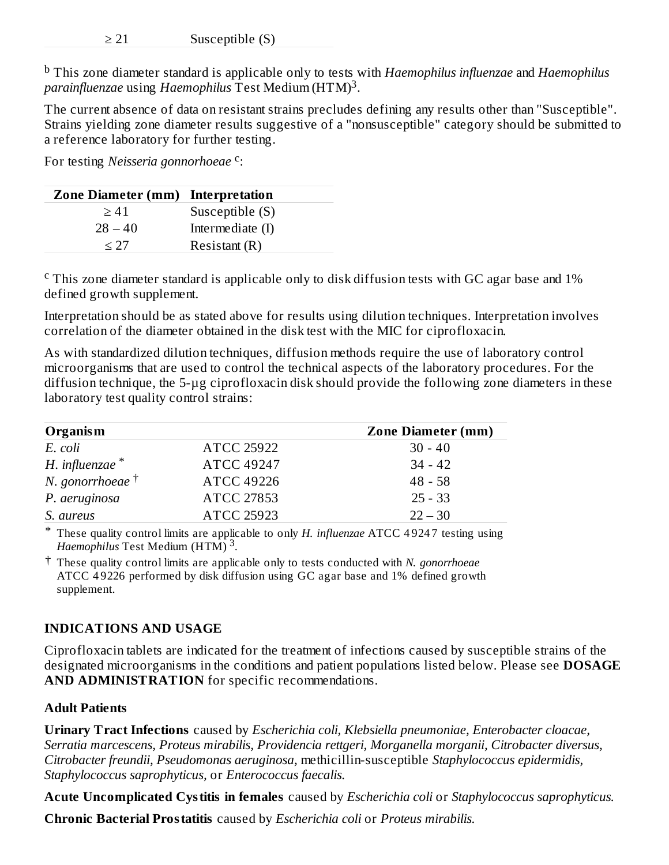This zone diameter standard is applicable only to tests with *Haemophilus influenzae* and *Haemophilus* b parainfluenzae using Haemophilus Test Medium (HTM)<sup>3</sup>.

The current absence of data on resistant strains precludes defining any results other than "Susceptible". Strains yielding zone diameter results suggestive of a "nonsusceptible" category should be submitted to a reference laboratory for further testing.

For testing *Neisseria gonnorhoeae*<sup>c</sup>:

| <b>Zone Diameter (mm)</b> Interpretation |                  |
|------------------------------------------|------------------|
| > 41                                     | Susceptible (S)  |
| $28 - 40$                                | Intermediate (I) |
| < 77                                     | Resistant (R)    |
|                                          |                  |

 $\rm c$  This zone diameter standard is applicable only to disk diffusion tests with GC agar base and 1% defined growth supplement.

Interpretation should be as stated above for results using dilution techniques. Interpretation involves correlation of the diameter obtained in the disk test with the MIC for ciprofloxacin.

As with standardized dilution techniques, diffusion methods require the use of laboratory control microorganisms that are used to control the technical aspects of the laboratory procedures. For the diffusion technique, the 5-µg ciprofloxacin disk should provide the following zone diameters in these laboratory test quality control strains:

| Organism                    |                   | <b>Zone Diameter (mm)</b> |
|-----------------------------|-------------------|---------------------------|
| E. coli                     | <b>ATCC 25922</b> | $30 - 40$                 |
| $H.$ influenzae $*$         | <b>ATCC 49247</b> | $34 - 42$                 |
| N. gonorrhoeae $^{\dagger}$ | <b>ATCC 49226</b> | $48 - 58$                 |
| P. aeruginosa               | <b>ATCC 27853</b> | $25 - 33$                 |
| S. aureus                   | <b>ATCC 25923</b> | $22 - 30$                 |

\* These quality control limits are applicable to only *H. influenzae* ATCC 4 924 7 testing using *Haemophilus* Test Medium (HTM)<sup>3</sup>.

† These quality control limits are applicable only to tests conducted with *N. gonorrhoeae* ATCC 4 9226 performed by disk diffusion using GC agar base and 1% defined growth supplement.

# **INDICATIONS AND USAGE**

Ciprofloxacin tablets are indicated for the treatment of infections caused by susceptible strains of the designated microorganisms in the conditions and patient populations listed below. Please see **DOSAGE AND ADMINISTRATION** for specific recommendations.

## **Adult Patients**

**Urinary Tract Infections** caused by *Escherichia coli, Klebsiella pneumoniae, Enterobacter cloacae, Serratia marcescens, Proteus mirabilis, Providencia rettgeri, Morganella morganii, Citrobacter diversus, Citrobacter freundii, Pseudomonas aeruginosa,* methicillin-susceptible *Staphylococcus epidermidis, Staphylococcus saprophyticus,* or *Enterococcus faecalis.*

**Acute Uncomplicated Cystitis in females** caused by *Escherichia coli* or *Staphylococcus saprophyticus.*

**Chronic Bacterial Prostatitis** caused by *Escherichia coli* or *Proteus mirabilis.*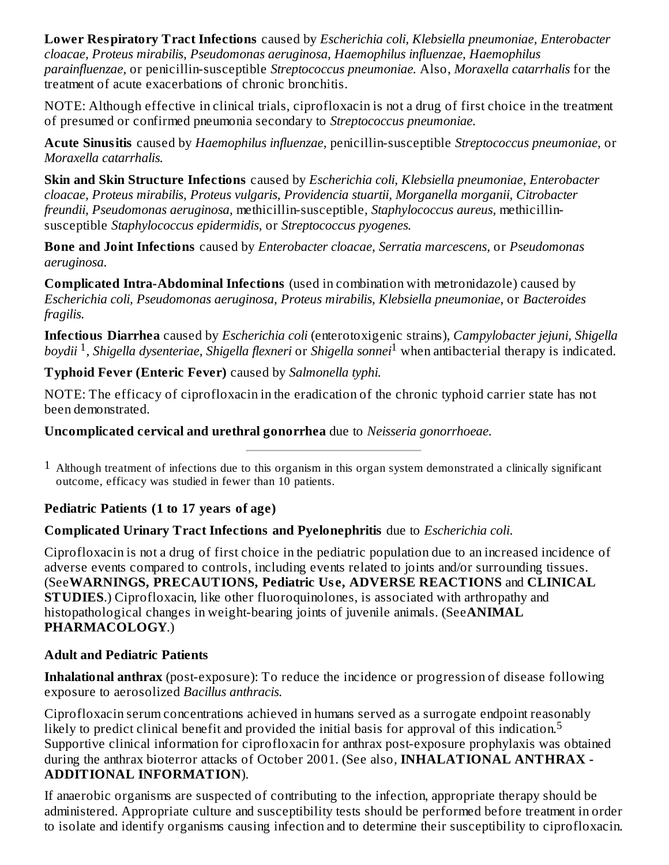**Lower Respiratory Tract Infections** caused by *Escherichia coli, Klebsiella pneumoniae, Enterobacter cloacae, Proteus mirabilis, Pseudomonas aeruginosa, Haemophilus influenzae, Haemophilus parainfluenzae,* or penicillin-susceptible *Streptococcus pneumoniae.* Also, *Moraxella catarrhalis* for the treatment of acute exacerbations of chronic bronchitis.

NOTE: Although effective in clinical trials, ciprofloxacin is not a drug of first choice in the treatment of presumed or confirmed pneumonia secondary to *Streptococcus pneumoniae.*

**Acute Sinusitis** caused by *Haemophilus influenzae,* penicillin-susceptible *Streptococcus pneumoniae,* or *Moraxella catarrhalis.*

**Skin and Skin Structure Infections** caused by *Escherichia coli, Klebsiella pneumoniae, Enterobacter cloacae, Proteus mirabilis, Proteus vulgaris, Providencia stuartii, Morganella morganii, Citrobacter freundii, Pseudomonas aeruginosa,* methicillin-susceptible, *Staphylococcus aureus,* methicillinsusceptible *Staphylococcus epidermidis,* or *Streptococcus pyogenes.*

**Bone and Joint Infections** caused by *Enterobacter cloacae, Serratia marcescens,* or *Pseudomonas aeruginosa.*

**Complicated Intra-Abdominal Infections** (used in combination with metronidazole) caused by *Escherichia coli, Pseudomonas aeruginosa, Proteus mirabilis, Klebsiella pneumoniae,* or *Bacteroides fragilis.*

**Infectious Diarrhea** caused by *Escherichia coli* (enterotoxigenic strains), *Campylobacter jejuni, Shigella* boydii<sup>1</sup>, Shigella dysenteriae, Shigella flexneri or Shigella sonnei<sup>1</sup> when antibacterial therapy is indicated.

**Typhoid Fever (Enteric Fever)** caused by *Salmonella typhi.*

NOTE: The efficacy of ciprofloxacin in the eradication of the chronic typhoid carrier state has not been demonstrated.

**Uncomplicated cervical and urethral gonorrhea** due to *Neisseria gonorrhoeae.*

1 Although treatment of infections due to this organism in this organ system demonstrated a clinically significant outcome, efficacy was studied in fewer than 10 patients.

### **Pediatric Patients (1 to 17 years of age)**

**Complicated Urinary Tract Infections and Pyelonephritis** due to *Escherichia coli*.

Ciprofloxacin is not a drug of first choice in the pediatric population due to an increased incidence of adverse events compared to controls, including events related to joints and/or surrounding tissues. (See**WARNINGS, PRECAUTIONS, Pediatric Us e, ADVERSE REACTIONS** and **CLINICAL STUDIES**.) Ciprofloxacin, like other fluoroquinolones, is associated with arthropathy and histopathological changes in weight-bearing joints of juvenile animals. (See**ANIMAL PHARMACOLOGY**.)

### **Adult and Pediatric Patients**

**Inhalational anthrax** (post-exposure): To reduce the incidence or progression of disease following exposure to aerosolized *Bacillus anthracis.*

Ciprofloxacin serum concentrations achieved in humans served as a surrogate endpoint reasonably likely to predict clinical benefit and provided the initial basis for approval of this indication.<sup>5</sup> Supportive clinical information for ciprofloxacin for anthrax post-exposure prophylaxis was obtained during the anthrax bioterror attacks of October 2001. (See also, **INHALATIONAL ANTHRAX - ADDITIONAL INFORMATION**).

If anaerobic organisms are suspected of contributing to the infection, appropriate therapy should be administered. Appropriate culture and susceptibility tests should be performed before treatment in order to isolate and identify organisms causing infection and to determine their susceptibility to ciprofloxacin.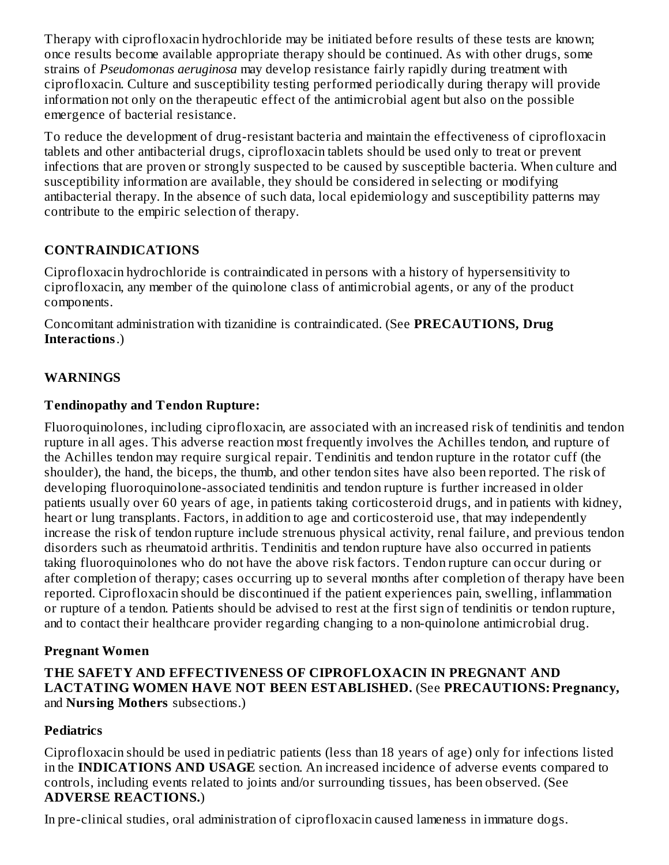Therapy with ciprofloxacin hydrochloride may be initiated before results of these tests are known; once results become available appropriate therapy should be continued. As with other drugs, some strains of *Pseudomonas aeruginosa* may develop resistance fairly rapidly during treatment with ciprofloxacin. Culture and susceptibility testing performed periodically during therapy will provide information not only on the therapeutic effect of the antimicrobial agent but also on the possible emergence of bacterial resistance.

To reduce the development of drug-resistant bacteria and maintain the effectiveness of ciprofloxacin tablets and other antibacterial drugs, ciprofloxacin tablets should be used only to treat or prevent infections that are proven or strongly suspected to be caused by susceptible bacteria. When culture and susceptibility information are available, they should be considered in selecting or modifying antibacterial therapy. In the absence of such data, local epidemiology and susceptibility patterns may contribute to the empiric selection of therapy.

# **CONTRAINDICATIONS**

Ciprofloxacin hydrochloride is contraindicated in persons with a history of hypersensitivity to ciprofloxacin, any member of the quinolone class of antimicrobial agents, or any of the product components.

Concomitant administration with tizanidine is contraindicated. (See **PRECAUTIONS, Drug Interactions**.)

## **WARNINGS**

## **Tendinopathy and Tendon Rupture:**

Fluoroquinolones, including ciprofloxacin, are associated with an increased risk of tendinitis and tendon rupture in all ages. This adverse reaction most frequently involves the Achilles tendon, and rupture of the Achilles tendon may require surgical repair. Tendinitis and tendon rupture in the rotator cuff (the shoulder), the hand, the biceps, the thumb, and other tendon sites have also been reported. The risk of developing fluoroquinolone-associated tendinitis and tendon rupture is further increased in older patients usually over 60 years of age, in patients taking corticosteroid drugs, and in patients with kidney, heart or lung transplants. Factors, in addition to age and corticosteroid use, that may independently increase the risk of tendon rupture include strenuous physical activity, renal failure, and previous tendon disorders such as rheumatoid arthritis. Tendinitis and tendon rupture have also occurred in patients taking fluoroquinolones who do not have the above risk factors. Tendon rupture can occur during or after completion of therapy; cases occurring up to several months after completion of therapy have been reported. Ciprofloxacin should be discontinued if the patient experiences pain, swelling, inflammation or rupture of a tendon. Patients should be advised to rest at the first sign of tendinitis or tendon rupture, and to contact their healthcare provider regarding changing to a non-quinolone antimicrobial drug.

## **Pregnant Women**

### **THE SAFETY AND EFFECTIVENESS OF CIPROFLOXACIN IN PREGNANT AND LACTATING WOMEN HAVE NOT BEEN ESTABLISHED.** (See **PRECAUTIONS: Pregnancy,** and **Nursing Mothers** subsections.)

## **Pediatrics**

Ciprofloxacin should be used in pediatric patients (less than 18 years of age) only for infections listed in the **INDICATIONS AND USAGE** section. An increased incidence of adverse events compared to controls, including events related to joints and/or surrounding tissues, has been observed. (See **ADVERSE REACTIONS.**)

In pre-clinical studies, oral administration of ciprofloxacin caused lameness in immature dogs.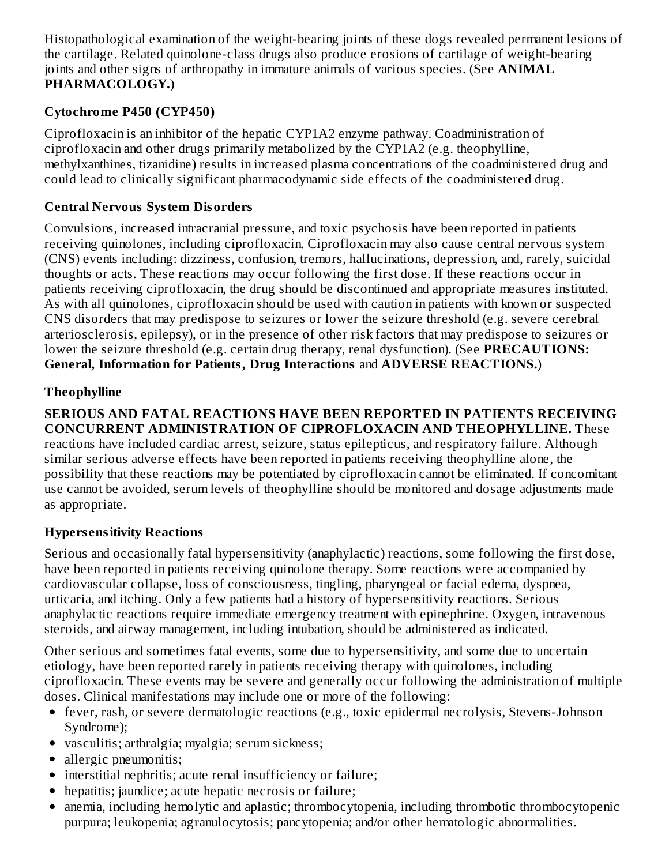Histopathological examination of the weight-bearing joints of these dogs revealed permanent lesions of the cartilage. Related quinolone-class drugs also produce erosions of cartilage of weight-bearing joints and other signs of arthropathy in immature animals of various species. (See **ANIMAL PHARMACOLOGY.**)

# **Cytochrome P450 (CYP450)**

Ciprofloxacin is an inhibitor of the hepatic CYP1A2 enzyme pathway. Coadministration of ciprofloxacin and other drugs primarily metabolized by the CYP1A2 (e.g. theophylline, methylxanthines, tizanidine) results in increased plasma concentrations of the coadministered drug and could lead to clinically significant pharmacodynamic side effects of the coadministered drug.

# **Central Nervous System Disorders**

Convulsions, increased intracranial pressure, and toxic psychosis have been reported in patients receiving quinolones, including ciprofloxacin. Ciprofloxacin may also cause central nervous system (CNS) events including: dizziness, confusion, tremors, hallucinations, depression, and, rarely, suicidal thoughts or acts. These reactions may occur following the first dose. If these reactions occur in patients receiving ciprofloxacin, the drug should be discontinued and appropriate measures instituted. As with all quinolones, ciprofloxacin should be used with caution in patients with known or suspected CNS disorders that may predispose to seizures or lower the seizure threshold (e.g. severe cerebral arteriosclerosis, epilepsy), or in the presence of other risk factors that may predispose to seizures or lower the seizure threshold (e.g. certain drug therapy, renal dysfunction). (See **PRECAUTIONS: General, Information for Patients, Drug Interactions** and **ADVERSE REACTIONS.**)

# **Theophylline**

**SERIOUS AND FATAL REACTIONS HAVE BEEN REPORTED IN PATIENTS RECEIVING CONCURRENT ADMINISTRATION OF CIPROFLOXACIN AND THEOPHYLLINE.** These reactions have included cardiac arrest, seizure, status epilepticus, and respiratory failure. Although similar serious adverse effects have been reported in patients receiving theophylline alone, the possibility that these reactions may be potentiated by ciprofloxacin cannot be eliminated. If concomitant use cannot be avoided, serum levels of theophylline should be monitored and dosage adjustments made as appropriate.

## **Hypers ensitivity Reactions**

Serious and occasionally fatal hypersensitivity (anaphylactic) reactions, some following the first dose, have been reported in patients receiving quinolone therapy. Some reactions were accompanied by cardiovascular collapse, loss of consciousness, tingling, pharyngeal or facial edema, dyspnea, urticaria, and itching. Only a few patients had a history of hypersensitivity reactions. Serious anaphylactic reactions require immediate emergency treatment with epinephrine. Oxygen, intravenous steroids, and airway management, including intubation, should be administered as indicated.

Other serious and sometimes fatal events, some due to hypersensitivity, and some due to uncertain etiology, have been reported rarely in patients receiving therapy with quinolones, including ciprofloxacin. These events may be severe and generally occur following the administration of multiple doses. Clinical manifestations may include one or more of the following:

- fever, rash, or severe dermatologic reactions (e.g., toxic epidermal necrolysis, Stevens-Johnson Syndrome);
- vasculitis; arthralgia; myalgia; serum sickness;
- allergic pneumonitis;
- interstitial nephritis; acute renal insufficiency or failure;
- hepatitis; jaundice; acute hepatic necrosis or failure;
- anemia, including hemolytic and aplastic; thrombocytopenia, including thrombotic thrombocytopenic purpura; leukopenia; agranulocytosis; pancytopenia; and/or other hematologic abnormalities.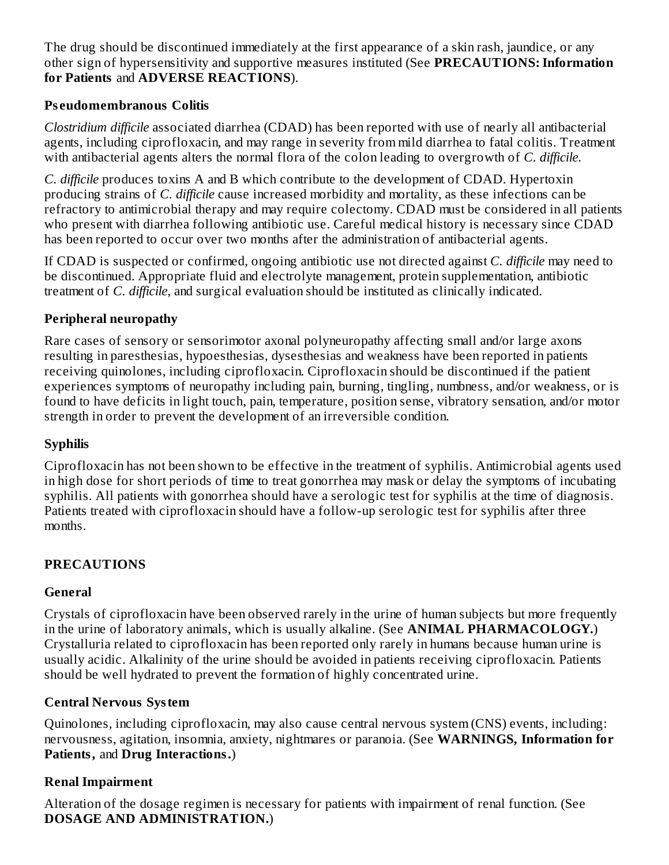The drug should be discontinued immediately at the first appearance of a skin rash, jaundice, or any other sign of hypersensitivity and supportive measures instituted (See **PRECAUTIONS:Information for Patients** and **ADVERSE REACTIONS**).

### **Ps eudomembranous Colitis**

*Clostridium difficile* associated diarrhea (CDAD) has been reported with use of nearly all antibacterial agents, including ciprofloxacin, and may range in severity from mild diarrhea to fatal colitis. Treatment with antibacterial agents alters the normal flora of the colon leading to overgrowth of *C. difficile.*

*C. difficile* produces toxins A and B which contribute to the development of CDAD. Hypertoxin producing strains of *C. difficile* cause increased morbidity and mortality, as these infections can be refractory to antimicrobial therapy and may require colectomy. CDAD must be considered in all patients who present with diarrhea following antibiotic use. Careful medical history is necessary since CDAD has been reported to occur over two months after the administration of antibacterial agents.

If CDAD is suspected or confirmed, ongoing antibiotic use not directed against *C. difficile* may need to be discontinued. Appropriate fluid and electrolyte management, protein supplementation, antibiotic treatment of *C. difficile*, and surgical evaluation should be instituted as clinically indicated.

## **Peripheral neuropathy**

Rare cases of sensory or sensorimotor axonal polyneuropathy affecting small and/or large axons resulting in paresthesias, hypoesthesias, dysesthesias and weakness have been reported in patients receiving quinolones, including ciprofloxacin. Ciprofloxacin should be discontinued if the patient experiences symptoms of neuropathy including pain, burning, tingling, numbness, and/or weakness, or is found to have deficits in light touch, pain, temperature, position sense, vibratory sensation, and/or motor strength in order to prevent the development of an irreversible condition.

## **Syphilis**

Ciprofloxacin has not been shown to be effective in the treatment of syphilis. Antimicrobial agents used in high dose for short periods of time to treat gonorrhea may mask or delay the symptoms of incubating syphilis. All patients with gonorrhea should have a serologic test for syphilis at the time of diagnosis. Patients treated with ciprofloxacin should have a follow-up serologic test for syphilis after three months.

# **PRECAUTIONS**

# **General**

Crystals of ciprofloxacin have been observed rarely in the urine of human subjects but more frequently in the urine of laboratory animals, which is usually alkaline. (See **ANIMAL PHARMACOLOGY.**) Crystalluria related to ciprofloxacin has been reported only rarely in humans because human urine is usually acidic. Alkalinity of the urine should be avoided in patients receiving ciprofloxacin. Patients should be well hydrated to prevent the formation of highly concentrated urine.

## **Central Nervous System**

Quinolones, including ciprofloxacin, may also cause central nervous system (CNS) events, including: nervousness, agitation, insomnia, anxiety, nightmares or paranoia. (See **WARNINGS, Information for Patients,** and **Drug Interactions.**)

# **Renal Impairment**

Alteration of the dosage regimen is necessary for patients with impairment of renal function. (See **DOSAGE AND ADMINISTRATION.**)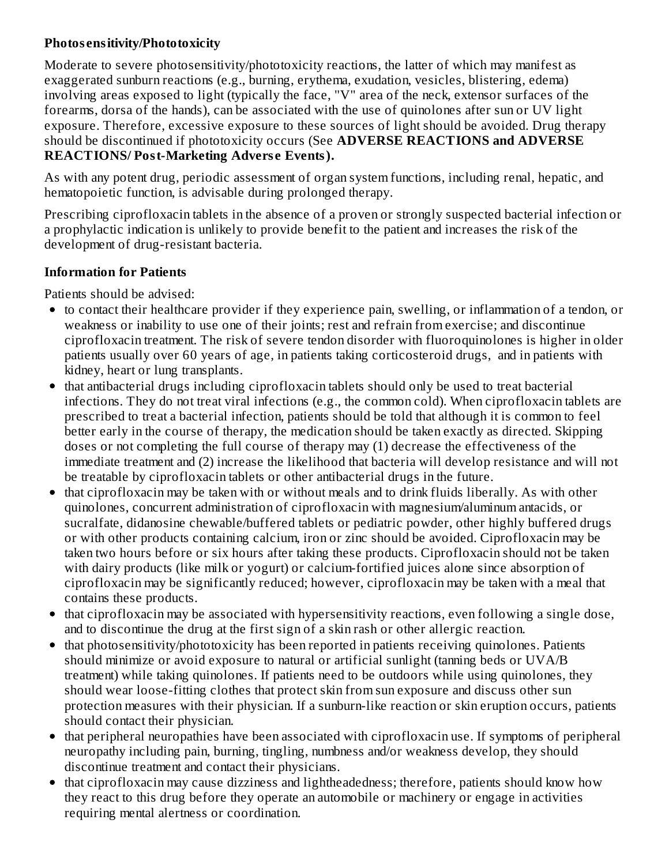### **Photos ensitivity/Phototoxicity**

Moderate to severe photosensitivity/phototoxicity reactions, the latter of which may manifest as exaggerated sunburn reactions (e.g., burning, erythema, exudation, vesicles, blistering, edema) involving areas exposed to light (typically the face, "V" area of the neck, extensor surfaces of the forearms, dorsa of the hands), can be associated with the use of quinolones after sun or UV light exposure. Therefore, excessive exposure to these sources of light should be avoided. Drug therapy should be discontinued if phototoxicity occurs (See **ADVERSE REACTIONS and ADVERSE REACTIONS/ Post-Marketing Advers e Events).**

As with any potent drug, periodic assessment of organ system functions, including renal, hepatic, and hematopoietic function, is advisable during prolonged therapy.

Prescribing ciprofloxacin tablets in the absence of a proven or strongly suspected bacterial infection or a prophylactic indication is unlikely to provide benefit to the patient and increases the risk of the development of drug-resistant bacteria.

# **Information for Patients**

Patients should be advised:

- to contact their healthcare provider if they experience pain, swelling, or inflammation of a tendon, or weakness or inability to use one of their joints; rest and refrain from exercise; and discontinue ciprofloxacin treatment. The risk of severe tendon disorder with fluoroquinolones is higher in older patients usually over 60 years of age, in patients taking corticosteroid drugs, and in patients with kidney, heart or lung transplants.
- that antibacterial drugs including ciprofloxacin tablets should only be used to treat bacterial infections. They do not treat viral infections (e.g., the common cold). When ciprofloxacin tablets are prescribed to treat a bacterial infection, patients should be told that although it is common to feel better early in the course of therapy, the medication should be taken exactly as directed. Skipping doses or not completing the full course of therapy may (1) decrease the effectiveness of the immediate treatment and (2) increase the likelihood that bacteria will develop resistance and will not be treatable by ciprofloxacin tablets or other antibacterial drugs in the future.
- that ciprofloxacin may be taken with or without meals and to drink fluids liberally. As with other quinolones, concurrent administration of ciprofloxacin with magnesium/aluminum antacids, or sucralfate, didanosine chewable/buffered tablets or pediatric powder, other highly buffered drugs or with other products containing calcium, iron or zinc should be avoided. Ciprofloxacin may be taken two hours before or six hours after taking these products. Ciprofloxacin should not be taken with dairy products (like milk or yogurt) or calcium-fortified juices alone since absorption of ciprofloxacin may be significantly reduced; however, ciprofloxacin may be taken with a meal that contains these products.
- that ciprofloxacin may be associated with hypersensitivity reactions, even following a single dose, and to discontinue the drug at the first sign of a skin rash or other allergic reaction.
- $\bullet$  that photosensitivity/phototoxicity has been reported in patients receiving quinolones. Patients should minimize or avoid exposure to natural or artificial sunlight (tanning beds or UVA/B treatment) while taking quinolones. If patients need to be outdoors while using quinolones, they should wear loose-fitting clothes that protect skin from sun exposure and discuss other sun protection measures with their physician. If a sunburn-like reaction or skin eruption occurs, patients should contact their physician.
- that peripheral neuropathies have been associated with ciprofloxacin use. If symptoms of peripheral neuropathy including pain, burning, tingling, numbness and/or weakness develop, they should discontinue treatment and contact their physicians.
- that ciprofloxacin may cause dizziness and lightheadedness; therefore, patients should know how they react to this drug before they operate an automobile or machinery or engage in activities requiring mental alertness or coordination.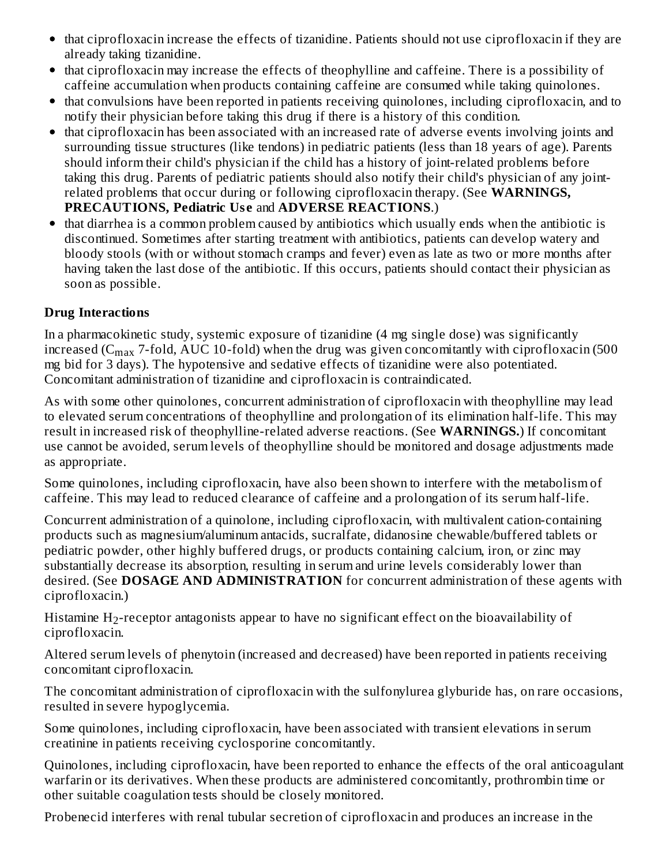- that ciprofloxacin increase the effects of tizanidine. Patients should not use ciprofloxacin if they are already taking tizanidine.
- that ciprofloxacin may increase the effects of theophylline and caffeine. There is a possibility of caffeine accumulation when products containing caffeine are consumed while taking quinolones.
- that convulsions have been reported in patients receiving quinolones, including ciprofloxacin, and to notify their physician before taking this drug if there is a history of this condition.
- that ciprofloxacin has been associated with an increased rate of adverse events involving joints and surrounding tissue structures (like tendons) in pediatric patients (less than 18 years of age). Parents should inform their child's physician if the child has a history of joint-related problems before taking this drug. Parents of pediatric patients should also notify their child's physician of any jointrelated problems that occur during or following ciprofloxacin therapy. (See **WARNINGS, PRECAUTIONS, Pediatric Us e** and **ADVERSE REACTIONS**.)
- $\bullet$  that diarrhea is a common problem caused by antibiotics which usually ends when the antibiotic is discontinued. Sometimes after starting treatment with antibiotics, patients can develop watery and bloody stools (with or without stomach cramps and fever) even as late as two or more months after having taken the last dose of the antibiotic. If this occurs, patients should contact their physician as soon as possible.

## **Drug Interactions**

In a pharmacokinetic study, systemic exposure of tizanidine (4 mg single dose) was significantly increased (C $_{\rm max}$  7-fold, AUC 10-fold) when the drug was given concomitantly with ciprofloxacin (500 mg bid for 3 days). The hypotensive and sedative effects of tizanidine were also potentiated. Concomitant administration of tizanidine and ciprofloxacin is contraindicated.

As with some other quinolones, concurrent administration of ciprofloxacin with theophylline may lead to elevated serum concentrations of theophylline and prolongation of its elimination half-life. This may result in increased risk of theophylline-related adverse reactions. (See **WARNINGS.**) If concomitant use cannot be avoided, serum levels of theophylline should be monitored and dosage adjustments made as appropriate.

Some quinolones, including ciprofloxacin, have also been shown to interfere with the metabolism of caffeine. This may lead to reduced clearance of caffeine and a prolongation of its serum half-life.

Concurrent administration of a quinolone, including ciprofloxacin, with multivalent cation-containing products such as magnesium/aluminum antacids, sucralfate, didanosine chewable/buffered tablets or pediatric powder, other highly buffered drugs, or products containing calcium, iron, or zinc may substantially decrease its absorption, resulting in serum and urine levels considerably lower than desired. (See **DOSAGE AND ADMINISTRATION** for concurrent administration of these agents with ciprofloxacin.)

Histamine  $\rm{H}_{2}$ -receptor antagonists appear to have no significant effect on the bioavailability of ciprofloxacin.

Altered serum levels of phenytoin (increased and decreased) have been reported in patients receiving concomitant ciprofloxacin.

The concomitant administration of ciprofloxacin with the sulfonylurea glyburide has, on rare occasions, resulted in severe hypoglycemia.

Some quinolones, including ciprofloxacin, have been associated with transient elevations in serum creatinine in patients receiving cyclosporine concomitantly.

Quinolones, including ciprofloxacin, have been reported to enhance the effects of the oral anticoagulant warfarin or its derivatives. When these products are administered concomitantly, prothrombin time or other suitable coagulation tests should be closely monitored.

Probenecid interferes with renal tubular secretion of ciprofloxacin and produces an increase in the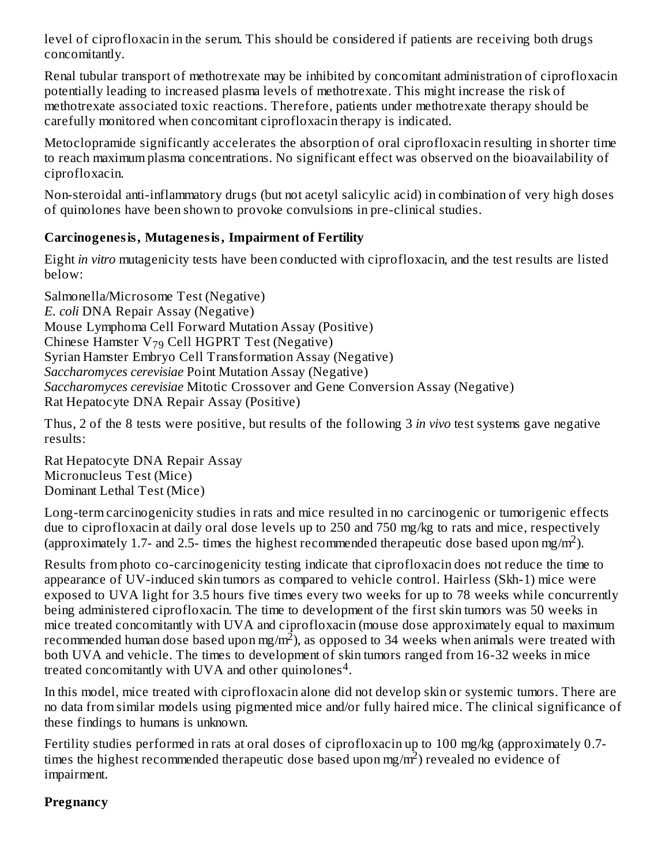level of ciprofloxacin in the serum. This should be considered if patients are receiving both drugs concomitantly.

Renal tubular transport of methotrexate may be inhibited by concomitant administration of ciprofloxacin potentially leading to increased plasma levels of methotrexate. This might increase the risk of methotrexate associated toxic reactions. Therefore, patients under methotrexate therapy should be carefully monitored when concomitant ciprofloxacin therapy is indicated.

Metoclopramide significantly accelerates the absorption of oral ciprofloxacin resulting in shorter time to reach maximum plasma concentrations. No significant effect was observed on the bioavailability of ciprofloxacin.

Non-steroidal anti-inflammatory drugs (but not acetyl salicylic acid) in combination of very high doses of quinolones have been shown to provoke convulsions in pre-clinical studies.

## **Carcinogenesis, Mutagenesis, Impairment of Fertility**

Eight *in vitro* mutagenicity tests have been conducted with ciprofloxacin, and the test results are listed below:

Salmonella/Microsome Test (Negative) *E. coli* DNA Repair Assay (Negative) Mouse Lymphoma Cell Forward Mutation Assay (Positive) Chinese Hamster  $V_{79}$  Cell HGPRT Test (Negative) Syrian Hamster Embryo Cell Transformation Assay (Negative) *Saccharomyces cerevisiae* Point Mutation Assay (Negative) *Saccharomyces cerevisiae* Mitotic Crossover and Gene Conversion Assay (Negative) Rat Hepatocyte DNA Repair Assay (Positive)

Thus, 2 of the 8 tests were positive, but results of the following 3 *in vivo* test systems gave negative results:

Rat Hepatocyte DNA Repair Assay Micronucleus Test (Mice) Dominant Lethal Test (Mice)

Long-term carcinogenicity studies in rats and mice resulted in no carcinogenic or tumorigenic effects due to ciprofloxacin at daily oral dose levels up to 250 and 750 mg/kg to rats and mice, respectively (approximately 1.7- and 2.5- times the highest recommended therapeutic dose based upon mg/m<sup>2</sup>).

Results from photo co-carcinogenicity testing indicate that ciprofloxacin does not reduce the time to appearance of UV-induced skin tumors as compared to vehicle control. Hairless (Skh-1) mice were exposed to UVA light for 3.5 hours five times every two weeks for up to 78 weeks while concurrently being administered ciprofloxacin. The time to development of the first skin tumors was 50 weeks in mice treated concomitantly with UVA and ciprofloxacin (mouse dose approximately equal to maximum recommended human dose based upon mg/m<sup>2</sup>), as opposed to 34 weeks when animals were treated with both UVA and vehicle. The times to development of skin tumors ranged from 16-32 weeks in mice treated concomitantly with UVA and other quinolones<sup>4</sup>.

In this model, mice treated with ciprofloxacin alone did not develop skin or systemic tumors. There are no data from similar models using pigmented mice and/or fully haired mice. The clinical significance of these findings to humans is unknown.

Fertility studies performed in rats at oral doses of ciprofloxacin up to 100 mg/kg (approximately 0.7 times the highest recommended therapeutic dose based upon mg/m<sup>2</sup>) revealed no evidence of impairment.

## **Pregnancy**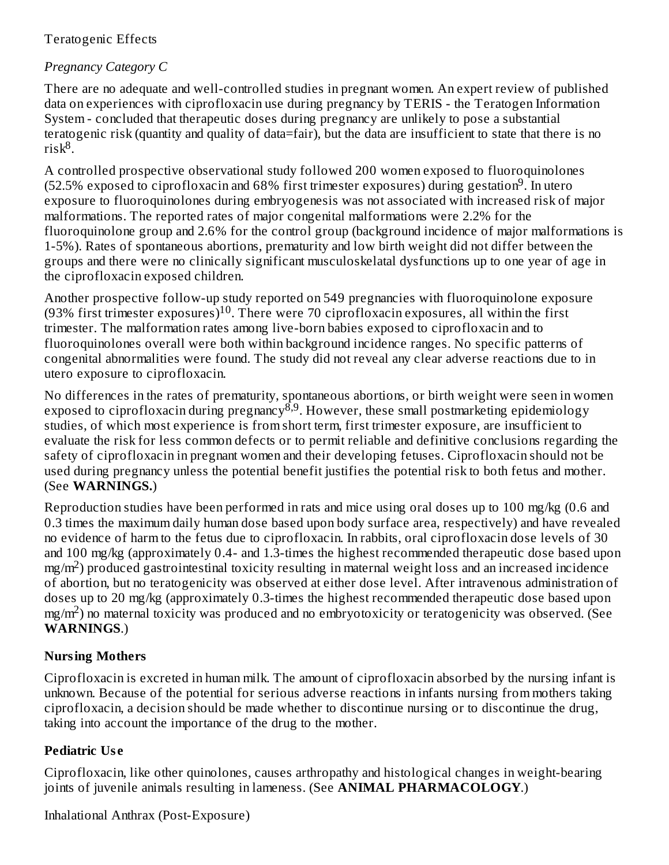### Teratogenic Effects

### *Pregnancy Category C*

There are no adequate and well-controlled studies in pregnant women. An expert review of published data on experiences with ciprofloxacin use during pregnancy by TERIS - the Teratogen Information System - concluded that therapeutic doses during pregnancy are unlikely to pose a substantial teratogenic risk (quantity and quality of data=fair), but the data are insufficient to state that there is no risk<sup>8</sup>.

A controlled prospective observational study followed 200 women exposed to fluoroquinolones (52.5% exposed to ciprofloxacin and 68% first trimester exposures) during gestation<sup>9</sup>. In utero exposure to fluoroquinolones during embryogenesis was not associated with increased risk of major malformations. The reported rates of major congenital malformations were 2.2% for the fluoroquinolone group and 2.6% for the control group (background incidence of major malformations is 1-5%). Rates of spontaneous abortions, prematurity and low birth weight did not differ between the groups and there were no clinically significant musculoskelatal dysfunctions up to one year of age in the ciprofloxacin exposed children.

Another prospective follow-up study reported on 549 pregnancies with fluoroquinolone exposure (93% first trimester exposures)<sup>10</sup>. There were 70 ciprofloxacin exposures, all within the first trimester. The malformation rates among live-born babies exposed to ciprofloxacin and to fluoroquinolones overall were both within background incidence ranges. No specific patterns of congenital abnormalities were found. The study did not reveal any clear adverse reactions due to in utero exposure to ciprofloxacin.

No differences in the rates of prematurity, spontaneous abortions, or birth weight were seen in women exposed to ciprofloxacin during pregnancy<sup>8,9</sup>. However, these small postmarketing epidemiology studies, of which most experience is from short term, first trimester exposure, are insufficient to evaluate the risk for less common defects or to permit reliable and definitive conclusions regarding the safety of ciprofloxacin in pregnant women and their developing fetuses. Ciprofloxacin should not be used during pregnancy unless the potential benefit justifies the potential risk to both fetus and mother. (See **WARNINGS.**)

Reproduction studies have been performed in rats and mice using oral doses up to 100 mg/kg (0.6 and 0.3 times the maximum daily human dose based upon body surface area, respectively) and have revealed no evidence of harm to the fetus due to ciprofloxacin. In rabbits, oral ciprofloxacin dose levels of 30 and 100 mg/kg (approximately 0.4- and 1.3-times the highest recommended therapeutic dose based upon  $mg/m<sup>2</sup>$ ) produced gastrointestinal toxicity resulting in maternal weight loss and an increased incidence of abortion, but no teratogenicity was observed at either dose level. After intravenous administration of doses up to 20 mg/kg (approximately 0.3-times the highest recommended therapeutic dose based upon  $mg/m<sup>2</sup>$ ) no maternal toxicity was produced and no embryotoxicity or teratogenicity was observed. (See **WARNINGS**.)

### **Nursing Mothers**

Ciprofloxacin is excreted in human milk. The amount of ciprofloxacin absorbed by the nursing infant is unknown. Because of the potential for serious adverse reactions in infants nursing from mothers taking ciprofloxacin, a decision should be made whether to discontinue nursing or to discontinue the drug, taking into account the importance of the drug to the mother.

## **Pediatric Us e**

Ciprofloxacin, like other quinolones, causes arthropathy and histological changes in weight-bearing joints of juvenile animals resulting in lameness. (See **ANIMAL PHARMACOLOGY**.)

Inhalational Anthrax (Post-Exposure)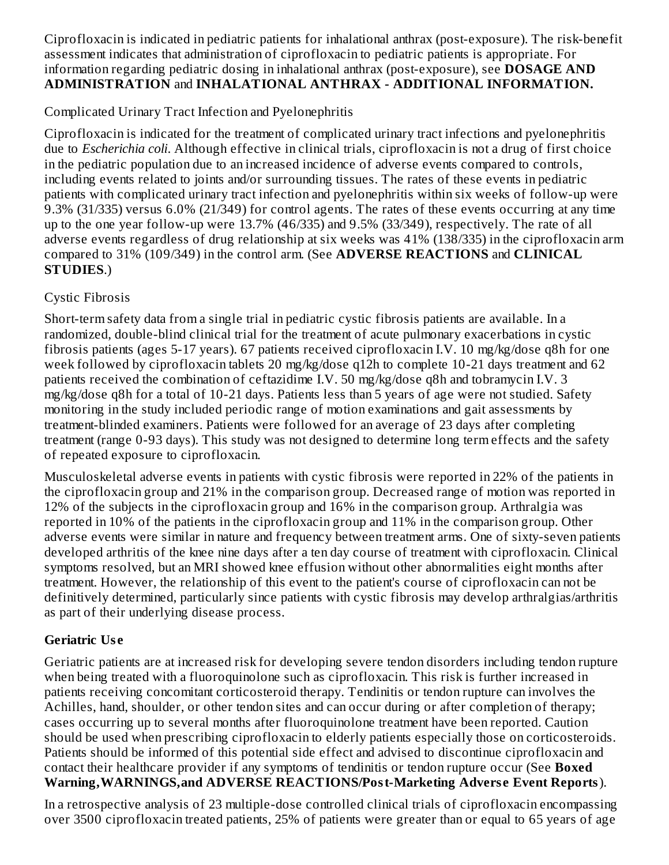Ciprofloxacin is indicated in pediatric patients for inhalational anthrax (post-exposure). The risk-benefit assessment indicates that administration of ciprofloxacin to pediatric patients is appropriate. For information regarding pediatric dosing in inhalational anthrax (post-exposure), see **DOSAGE AND ADMINISTRATION** and **INHALATIONAL ANTHRAX - ADDITIONAL INFORMATION.**

Complicated Urinary Tract Infection and Pyelonephritis

Ciprofloxacin is indicated for the treatment of complicated urinary tract infections and pyelonephritis due to *Escherichia coli*. Although effective in clinical trials, ciprofloxacin is not a drug of first choice in the pediatric population due to an increased incidence of adverse events compared to controls, including events related to joints and/or surrounding tissues. The rates of these events in pediatric patients with complicated urinary tract infection and pyelonephritis within six weeks of follow-up were 9.3% (31/335) versus 6.0% (21/349) for control agents. The rates of these events occurring at any time up to the one year follow-up were 13.7% (46/335) and 9.5% (33/349), respectively. The rate of all adverse events regardless of drug relationship at six weeks was 41% (138/335) in the ciprofloxacin arm compared to 31% (109/349) in the control arm. (See **ADVERSE REACTIONS** and **CLINICAL STUDIES**.)

# Cystic Fibrosis

Short-term safety data from a single trial in pediatric cystic fibrosis patients are available. In a randomized, double-blind clinical trial for the treatment of acute pulmonary exacerbations in cystic fibrosis patients (ages 5-17 years). 67 patients received ciprofloxacin I.V. 10 mg/kg/dose q8h for one week followed by ciprofloxacin tablets 20 mg/kg/dose q12h to complete 10-21 days treatment and 62 patients received the combination of ceftazidime I.V. 50 mg/kg/dose q8h and tobramycin I.V. 3 mg/kg/dose q8h for a total of 10-21 days. Patients less than 5 years of age were not studied. Safety monitoring in the study included periodic range of motion examinations and gait assessments by treatment-blinded examiners. Patients were followed for an average of 23 days after completing treatment (range 0-93 days). This study was not designed to determine long term effects and the safety of repeated exposure to ciprofloxacin.

Musculoskeletal adverse events in patients with cystic fibrosis were reported in 22% of the patients in the ciprofloxacin group and 21% in the comparison group. Decreased range of motion was reported in 12% of the subjects in the ciprofloxacin group and 16% in the comparison group. Arthralgia was reported in 10% of the patients in the ciprofloxacin group and 11% in the comparison group. Other adverse events were similar in nature and frequency between treatment arms. One of sixty-seven patients developed arthritis of the knee nine days after a ten day course of treatment with ciprofloxacin. Clinical symptoms resolved, but an MRI showed knee effusion without other abnormalities eight months after treatment. However, the relationship of this event to the patient's course of ciprofloxacin can not be definitively determined, particularly since patients with cystic fibrosis may develop arthralgias/arthritis as part of their underlying disease process.

# **Geriatric Us e**

Geriatric patients are at increased risk for developing severe tendon disorders including tendon rupture when being treated with a fluoroquinolone such as ciprofloxacin. This risk is further increased in patients receiving concomitant corticosteroid therapy. Tendinitis or tendon rupture can involves the Achilles, hand, shoulder, or other tendon sites and can occur during or after completion of therapy; cases occurring up to several months after fluoroquinolone treatment have been reported. Caution should be used when prescribing ciprofloxacin to elderly patients especially those on corticosteroids. Patients should be informed of this potential side effect and advised to discontinue ciprofloxacin and contact their healthcare provider if any symptoms of tendinitis or tendon rupture occur (See **Boxed Warning,WARNINGS,and ADVERSE REACTIONS/Post-Marketing Advers e Event Reports**).

In a retrospective analysis of 23 multiple-dose controlled clinical trials of ciprofloxacin encompassing over 3500 ciprofloxacin treated patients, 25% of patients were greater than or equal to 65 years of age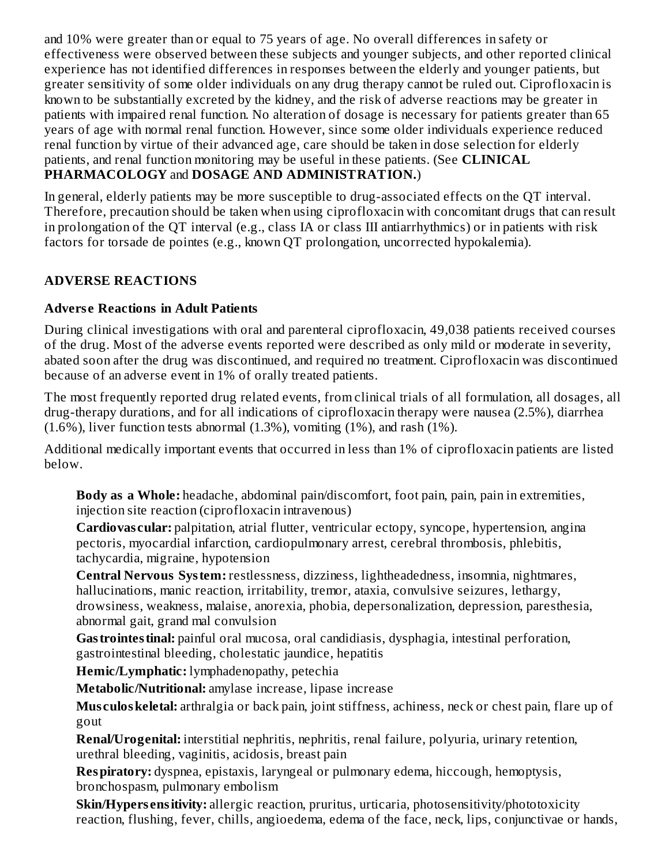and 10% were greater than or equal to 75 years of age. No overall differences in safety or effectiveness were observed between these subjects and younger subjects, and other reported clinical experience has not identified differences in responses between the elderly and younger patients, but greater sensitivity of some older individuals on any drug therapy cannot be ruled out. Ciprofloxacin is known to be substantially excreted by the kidney, and the risk of adverse reactions may be greater in patients with impaired renal function. No alteration of dosage is necessary for patients greater than 65 years of age with normal renal function. However, since some older individuals experience reduced renal function by virtue of their advanced age, care should be taken in dose selection for elderly patients, and renal function monitoring may be useful in these patients. (See **CLINICAL**

## **PHARMACOLOGY** and **DOSAGE AND ADMINISTRATION.**)

In general, elderly patients may be more susceptible to drug-associated effects on the QT interval. Therefore, precaution should be taken when using ciprofloxacin with concomitant drugs that can result in prolongation of the QT interval (e.g., class IA or class III antiarrhythmics) or in patients with risk factors for torsade de pointes (e.g., known QT prolongation, uncorrected hypokalemia).

# **ADVERSE REACTIONS**

# **Advers e Reactions in Adult Patients**

During clinical investigations with oral and parenteral ciprofloxacin, 49,038 patients received courses of the drug. Most of the adverse events reported were described as only mild or moderate in severity, abated soon after the drug was discontinued, and required no treatment. Ciprofloxacin was discontinued because of an adverse event in 1% of orally treated patients.

The most frequently reported drug related events, from clinical trials of all formulation, all dosages, all drug-therapy durations, and for all indications of ciprofloxacin therapy were nausea (2.5%), diarrhea  $(1.6\%)$ , liver function tests abnormal  $(1.3\%)$ , vomiting  $(1\%)$ , and rash  $(1\%)$ .

Additional medically important events that occurred in less than 1% of ciprofloxacin patients are listed below.

**Body as a Whole:** headache, abdominal pain/discomfort, foot pain, pain, pain in extremities, injection site reaction (ciprofloxacin intravenous)

**Cardiovas cular:** palpitation, atrial flutter, ventricular ectopy, syncope, hypertension, angina pectoris, myocardial infarction, cardiopulmonary arrest, cerebral thrombosis, phlebitis, tachycardia, migraine, hypotension

**Central Nervous System:** restlessness, dizziness, lightheadedness, insomnia, nightmares, hallucinations, manic reaction, irritability, tremor, ataxia, convulsive seizures, lethargy, drowsiness, weakness, malaise, anorexia, phobia, depersonalization, depression, paresthesia, abnormal gait, grand mal convulsion

**Gastrointestinal:** painful oral mucosa, oral candidiasis, dysphagia, intestinal perforation, gastrointestinal bleeding, cholestatic jaundice, hepatitis

**Hemic/Lymphatic:** lymphadenopathy, petechia

**Metabolic/Nutritional:** amylase increase, lipase increase

**Mus culoskeletal:** arthralgia or back pain, joint stiffness, achiness, neck or chest pain, flare up of gout

**Renal/Urogenital:** interstitial nephritis, nephritis, renal failure, polyuria, urinary retention, urethral bleeding, vaginitis, acidosis, breast pain

**Respiratory:** dyspnea, epistaxis, laryngeal or pulmonary edema, hiccough, hemoptysis, bronchospasm, pulmonary embolism

**Skin/Hypers ensitivity:** allergic reaction, pruritus, urticaria, photosensitivity/phototoxicity reaction, flushing, fever, chills, angioedema, edema of the face, neck, lips, conjunctivae or hands,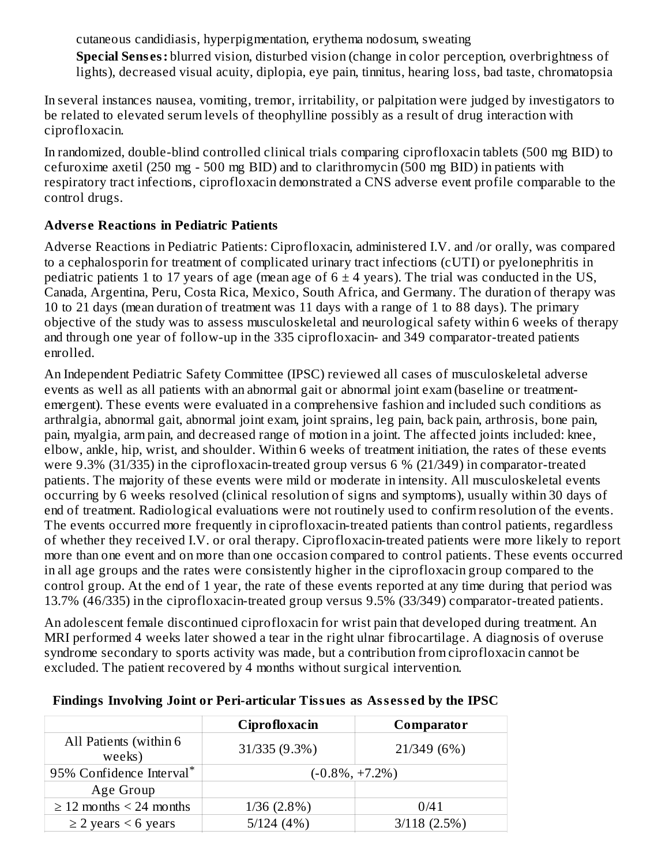cutaneous candidiasis, hyperpigmentation, erythema nodosum, sweating

**Special Senses:** blurred vision, disturbed vision (change in color perception, overbrightness of lights), decreased visual acuity, diplopia, eye pain, tinnitus, hearing loss, bad taste, chromatopsia

In several instances nausea, vomiting, tremor, irritability, or palpitation were judged by investigators to be related to elevated serum levels of theophylline possibly as a result of drug interaction with ciprofloxacin.

In randomized, double-blind controlled clinical trials comparing ciprofloxacin tablets (500 mg BID) to cefuroxime axetil (250 mg - 500 mg BID) and to clarithromycin (500 mg BID) in patients with respiratory tract infections, ciprofloxacin demonstrated a CNS adverse event profile comparable to the control drugs.

### **Advers e Reactions in Pediatric Patients**

Adverse Reactions in Pediatric Patients: Ciprofloxacin, administered I.V. and /or orally, was compared to a cephalosporin for treatment of complicated urinary tract infections (cUTI) or pyelonephritis in pediatric patients 1 to 17 years of age (mean age of  $6 \pm 4$  years). The trial was conducted in the US, Canada, Argentina, Peru, Costa Rica, Mexico, South Africa, and Germany. The duration of therapy was 10 to 21 days (mean duration of treatment was 11 days with a range of 1 to 88 days). The primary objective of the study was to assess musculoskeletal and neurological safety within 6 weeks of therapy and through one year of follow-up in the 335 ciprofloxacin- and 349 comparator-treated patients enrolled.

An Independent Pediatric Safety Committee (IPSC) reviewed all cases of musculoskeletal adverse events as well as all patients with an abnormal gait or abnormal joint exam (baseline or treatmentemergent). These events were evaluated in a comprehensive fashion and included such conditions as arthralgia, abnormal gait, abnormal joint exam, joint sprains, leg pain, back pain, arthrosis, bone pain, pain, myalgia, arm pain, and decreased range of motion in a joint. The affected joints included: knee, elbow, ankle, hip, wrist, and shoulder. Within 6 weeks of treatment initiation, the rates of these events were 9.3% (31/335) in the ciprofloxacin-treated group versus 6 % (21/349) in comparator-treated patients. The majority of these events were mild or moderate in intensity. All musculoskeletal events occurring by 6 weeks resolved (clinical resolution of signs and symptoms), usually within 30 days of end of treatment. Radiological evaluations were not routinely used to confirm resolution of the events. The events occurred more frequently in ciprofloxacin-treated patients than control patients, regardless of whether they received I.V. or oral therapy. Ciprofloxacin-treated patients were more likely to report more than one event and on more than one occasion compared to control patients. These events occurred in all age groups and the rates were consistently higher in the ciprofloxacin group compared to the control group. At the end of 1 year, the rate of these events reported at any time during that period was 13.7% (46/335) in the ciprofloxacin-treated group versus 9.5% (33/349) comparator-treated patients.

An adolescent female discontinued ciprofloxacin for wrist pain that developed during treatment. An MRI performed 4 weeks later showed a tear in the right ulnar fibrocartilage. A diagnosis of overuse syndrome secondary to sports activity was made, but a contribution from ciprofloxacin cannot be excluded. The patient recovered by 4 months without surgical intervention.

|                                  | Ciprofloxacin      | Comparator        |
|----------------------------------|--------------------|-------------------|
| All Patients (within 6<br>weeks) | 31/335 (9.3%)      | 21/349 (6%)       |
| 95% Confidence Interval*         | $(-0.8\%, +7.2\%)$ |                   |
| Age Group                        |                    |                   |
| $\geq$ 12 months < 24 months     | $1/36$ $(2.8\%)$   | 0/41              |
| $\geq$ 2 years $\leq$ 6 years    | 5/124(4%)          | $3/118$ $(2.5\%)$ |

### **Findings Involving Joint or Peri-articular Tissues as Ass ess ed by the IPSC**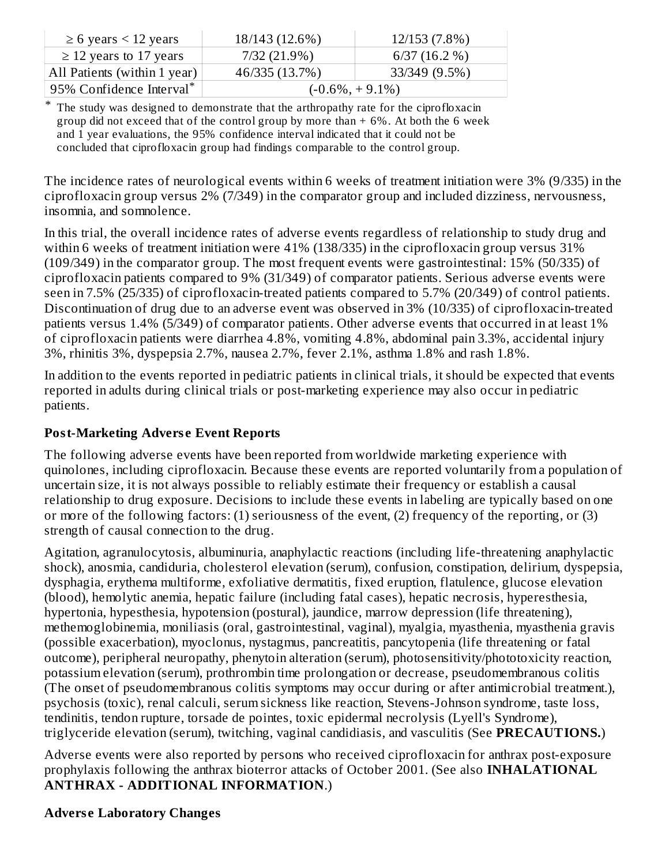| $\geq 6$ years $\leq 12$ years       | 18/143 (12.6%)     | 12/153 (7.8%)  |  |
|--------------------------------------|--------------------|----------------|--|
| $\geq$ 12 years to 17 years          | 7/32 (21.9%)       | $6/37(16.2\%)$ |  |
| All Patients (within 1 year)         | 46/335 (13.7%)     | 33/349 (9.5%)  |  |
| 95% Confidence Interval <sup>*</sup> | $(-0.6\%, +9.1\%)$ |                |  |

\* The study was designed to demonstrate that the arthropathy rate for the ciprofloxacin group did not exceed that of the control group by more than  $+6\%$ . At both the 6 week and 1 year evaluations, the 95% confidence interval indicated that it could not be concluded that ciprofloxacin group had findings comparable to the control group.

The incidence rates of neurological events within 6 weeks of treatment initiation were 3% (9/335) in the ciprofloxacin group versus 2% (7/349) in the comparator group and included dizziness, nervousness, insomnia, and somnolence.

In this trial, the overall incidence rates of adverse events regardless of relationship to study drug and within 6 weeks of treatment initiation were 41% (138/335) in the ciprofloxacin group versus 31% (109/349) in the comparator group. The most frequent events were gastrointestinal: 15% (50/335) of ciprofloxacin patients compared to 9% (31/349) of comparator patients. Serious adverse events were seen in 7.5% (25/335) of ciprofloxacin-treated patients compared to 5.7% (20/349) of control patients. Discontinuation of drug due to an adverse event was observed in 3% (10/335) of ciprofloxacin-treated patients versus 1.4% (5/349) of comparator patients. Other adverse events that occurred in at least 1% of ciprofloxacin patients were diarrhea 4.8%, vomiting 4.8%, abdominal pain 3.3%, accidental injury 3%, rhinitis 3%, dyspepsia 2.7%, nausea 2.7%, fever 2.1%, asthma 1.8% and rash 1.8%.

In addition to the events reported in pediatric patients in clinical trials, it should be expected that events reported in adults during clinical trials or post-marketing experience may also occur in pediatric patients.

### **Post-Marketing Advers e Event Reports**

The following adverse events have been reported from worldwide marketing experience with quinolones, including ciprofloxacin. Because these events are reported voluntarily from a population of uncertain size, it is not always possible to reliably estimate their frequency or establish a causal relationship to drug exposure. Decisions to include these events in labeling are typically based on one or more of the following factors: (1) seriousness of the event, (2) frequency of the reporting, or (3) strength of causal connection to the drug.

Agitation, agranulocytosis, albuminuria, anaphylactic reactions (including life-threatening anaphylactic shock), anosmia, candiduria, cholesterol elevation (serum), confusion, constipation, delirium, dyspepsia, dysphagia, erythema multiforme, exfoliative dermatitis, fixed eruption, flatulence, glucose elevation (blood), hemolytic anemia, hepatic failure (including fatal cases), hepatic necrosis, hyperesthesia, hypertonia, hypesthesia, hypotension (postural), jaundice, marrow depression (life threatening), methemoglobinemia, moniliasis (oral, gastrointestinal, vaginal), myalgia, myasthenia, myasthenia gravis (possible exacerbation), myoclonus, nystagmus, pancreatitis, pancytopenia (life threatening or fatal outcome), peripheral neuropathy, phenytoin alteration (serum), photosensitivity/phototoxicity reaction, potassium elevation (serum), prothrombin time prolongation or decrease, pseudomembranous colitis (The onset of pseudomembranous colitis symptoms may occur during or after antimicrobial treatment.), psychosis (toxic), renal calculi, serum sickness like reaction, Stevens-Johnson syndrome, taste loss, tendinitis, tendon rupture, torsade de pointes, toxic epidermal necrolysis (Lyell's Syndrome), triglyceride elevation (serum), twitching, vaginal candidiasis, and vasculitis (See **PRECAUTIONS.**)

Adverse events were also reported by persons who received ciprofloxacin for anthrax post-exposure prophylaxis following the anthrax bioterror attacks of October 2001. (See also **INHALATIONAL ANTHRAX - ADDITIONAL INFORMATION**.)

## **Advers e Laboratory Changes**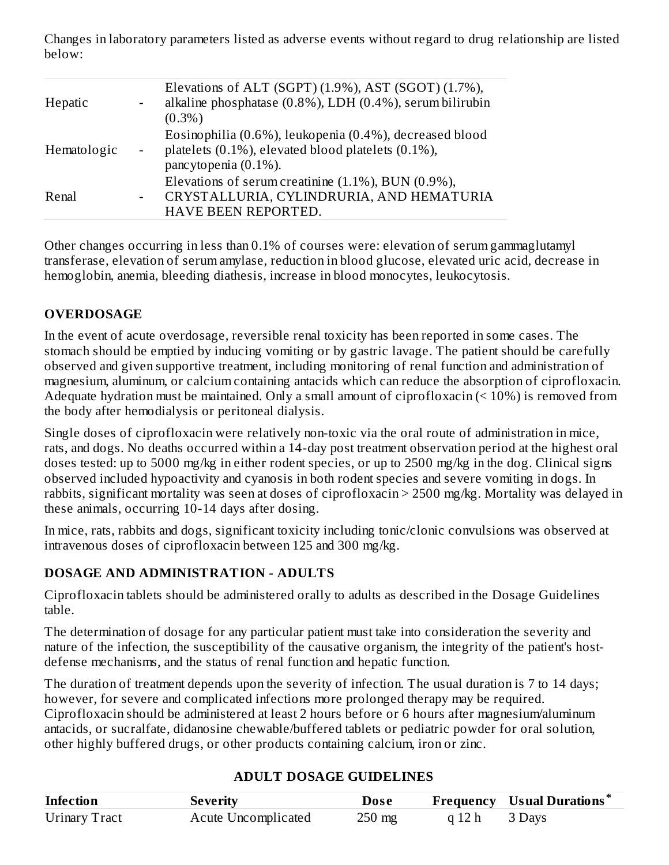Changes in laboratory parameters listed as adverse events without regard to drug relationship are listed below:

| Hepatic     | Elevations of ALT (SGPT) (1.9%), AST (SGOT) (1.7%),<br>alkaline phosphatase (0.8%), LDH (0.4%), serum bilirubin<br>$(0.3\%)$                  |
|-------------|-----------------------------------------------------------------------------------------------------------------------------------------------|
| Hematologic | Eosinophilia (0.6%), leukopenia (0.4%), decreased blood<br>platelets $(0.1\%)$ , elevated blood platelets $(0.1\%)$ ,<br>pancytopenia (0.1%). |
| Renal       | Elevations of serum creatinine (1.1%), BUN (0.9%),<br>CRYSTALLURIA, CYLINDRURIA, AND HEMATURIA<br><b>HAVE BEEN REPORTED.</b>                  |

Other changes occurring in less than 0.1% of courses were: elevation of serum gammaglutamyl transferase, elevation of serum amylase, reduction in blood glucose, elevated uric acid, decrease in hemoglobin, anemia, bleeding diathesis, increase in blood monocytes, leukocytosis.

## **OVERDOSAGE**

In the event of acute overdosage, reversible renal toxicity has been reported in some cases. The stomach should be emptied by inducing vomiting or by gastric lavage. The patient should be carefully observed and given supportive treatment, including monitoring of renal function and administration of magnesium, aluminum, or calcium containing antacids which can reduce the absorption of ciprofloxacin. Adequate hydration must be maintained. Only a small amount of ciprofloxacin (< 10%) is removed from the body after hemodialysis or peritoneal dialysis.

Single doses of ciprofloxacin were relatively non-toxic via the oral route of administration in mice, rats, and dogs. No deaths occurred within a 14-day post treatment observation period at the highest oral doses tested: up to 5000 mg/kg in either rodent species, or up to 2500 mg/kg in the dog. Clinical signs observed included hypoactivity and cyanosis in both rodent species and severe vomiting in dogs. In rabbits, significant mortality was seen at doses of ciprofloxacin > 2500 mg/kg. Mortality was delayed in these animals, occurring 10-14 days after dosing.

In mice, rats, rabbits and dogs, significant toxicity including tonic/clonic convulsions was observed at intravenous doses of ciprofloxacin between 125 and 300 mg/kg.

# **DOSAGE AND ADMINISTRATION - ADULTS**

Ciprofloxacin tablets should be administered orally to adults as described in the Dosage Guidelines table.

The determination of dosage for any particular patient must take into consideration the severity and nature of the infection, the susceptibility of the causative organism, the integrity of the patient's hostdefense mechanisms, and the status of renal function and hepatic function.

The duration of treatment depends upon the severity of infection. The usual duration is 7 to 14 days; however, for severe and complicated infections more prolonged therapy may be required. Ciprofloxacin should be administered at least 2 hours before or 6 hours after magnesium/aluminum antacids, or sucralfate, didanosine chewable/buffered tablets or pediatric powder for oral solution, other highly buffered drugs, or other products containing calcium, iron or zinc.

| Infection            | Severitv            | Dose             |          | <b>Frequency</b> Usual Durations <sup>7</sup> |
|----------------------|---------------------|------------------|----------|-----------------------------------------------|
| <b>Urinary Tract</b> | Acute Uncomplicated | $250 \text{ mg}$ | - a 12 h | 3 Days                                        |

## **ADULT DOSAGE GUIDELINES**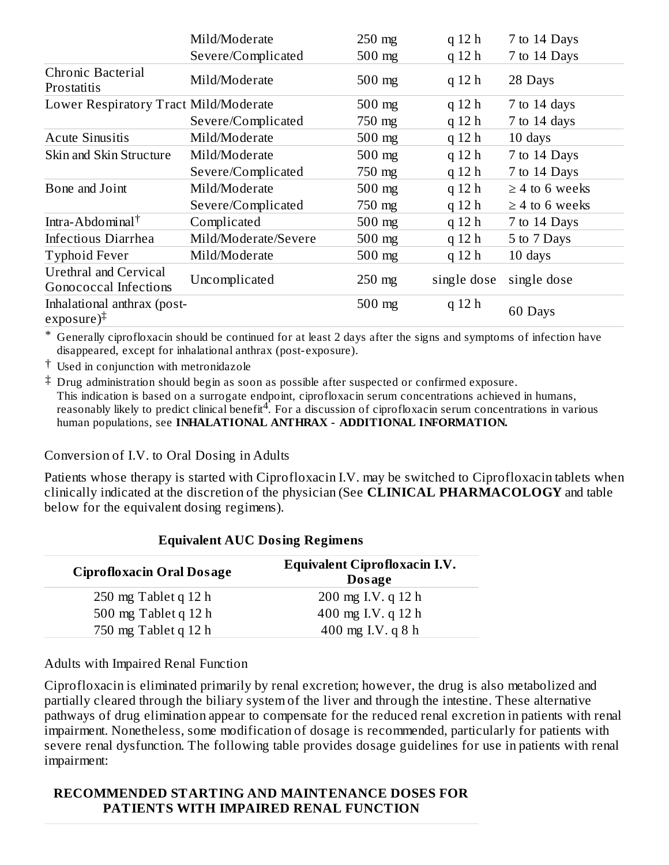|                                                                             | Mild/Moderate        | 250 mg           | q 12 h      | 7 to 14 Days        |
|-----------------------------------------------------------------------------|----------------------|------------------|-------------|---------------------|
|                                                                             | Severe/Complicated   | 500 mg           | q 12 h      | 7 to 14 Days        |
| Chronic Bacterial<br>Prostatitis                                            | Mild/Moderate        | $500$ mg         | q 12 h      | 28 Days             |
| Lower Respiratory Tract Mild/Moderate                                       |                      | $500$ mg         | q 12 h      | 7 to 14 days        |
|                                                                             | Severe/Complicated   | 750 mg           | q 12 h      | 7 to 14 days        |
| <b>Acute Sinusitis</b>                                                      | Mild/Moderate        | $500$ mg         | q 12 h      | 10 days             |
| Skin and Skin Structure                                                     | Mild/Moderate        | $500$ mg         | q 12 h      | 7 to 14 Days        |
|                                                                             | Severe/Complicated   | 750 mg           | q $12h$     | 7 to 14 Days        |
| Bone and Joint                                                              | Mild/Moderate        | 500 mg           | q 12 h      | $\geq$ 4 to 6 weeks |
|                                                                             | Severe/Complicated   | 750 mg           | q $12h$     | $\geq$ 4 to 6 weeks |
| Intra-Abdominal <sup>†</sup>                                                | Complicated          | $500$ mg         | q 12 h      | 7 to 14 Days        |
| Infectious Diarrhea                                                         | Mild/Moderate/Severe | $500$ mg         | q 12 h      | 5 to 7 Days         |
| <b>Typhoid Fever</b>                                                        | Mild/Moderate        | $500$ mg         | q 12 h      | 10 days             |
| Urethral and Cervical<br>Gonococcal Infections                              | Uncomplicated        | $250 \text{ mg}$ | single dose | single dose         |
| Inhalational anthrax (post-<br>$exposure)$ <sup><math>\ddagger</math></sup> |                      | 500 mg           | q 12 h      | 60 Days             |

\* Generally ciprofloxacin should be continued for at least 2 days after the signs and symptoms of infection have disappeared, except for inhalational anthrax (post-exposure).

† Used in conjunction with metronidazole

‡ Drug administration should begin as soon as possible after suspected or confirmed exposure. This indication is based on a surrogate endpoint, ciprofloxacin serum concentrations achieved in humans, reasonably likely to predict clinical benefit<sup>4</sup>. For a discussion of ciprofloxacin serum concentrations in various human populations, see **INHALATIONAL ANTHRAX - ADDITIONAL INFORMATION.**

### Conversion of I.V. to Oral Dosing in Adults

Patients whose therapy is started with Ciprofloxacin I.V. may be switched to Ciprofloxacin tablets when clinically indicated at the discretion of the physician (See **CLINICAL PHARMACOLOGY** and table below for the equivalent dosing regimens).

| <b>Ciprofloxacin Oral Dosage</b> | <b>Equivalent Ciprofloxacin I.V.</b><br><b>Dosage</b> |
|----------------------------------|-------------------------------------------------------|
| 250 mg Tablet q 12 h             | 200 mg I.V. q 12 h                                    |
| 500 mg Tablet q 12 h             | 400 mg I.V. q 12 h                                    |
| 750 mg Tablet q 12 h             | 400 mg I.V. q 8 h                                     |

### **Equivalent AUC Dosing Regimens**

### Adults with Impaired Renal Function

Ciprofloxacin is eliminated primarily by renal excretion; however, the drug is also metabolized and partially cleared through the biliary system of the liver and through the intestine. These alternative pathways of drug elimination appear to compensate for the reduced renal excretion in patients with renal impairment. Nonetheless, some modification of dosage is recommended, particularly for patients with severe renal dysfunction. The following table provides dosage guidelines for use in patients with renal impairment:

### **RECOMMENDED STARTING AND MAINTENANCE DOSES FOR PATIENTS WITH IMPAIRED RENAL FUNCTION**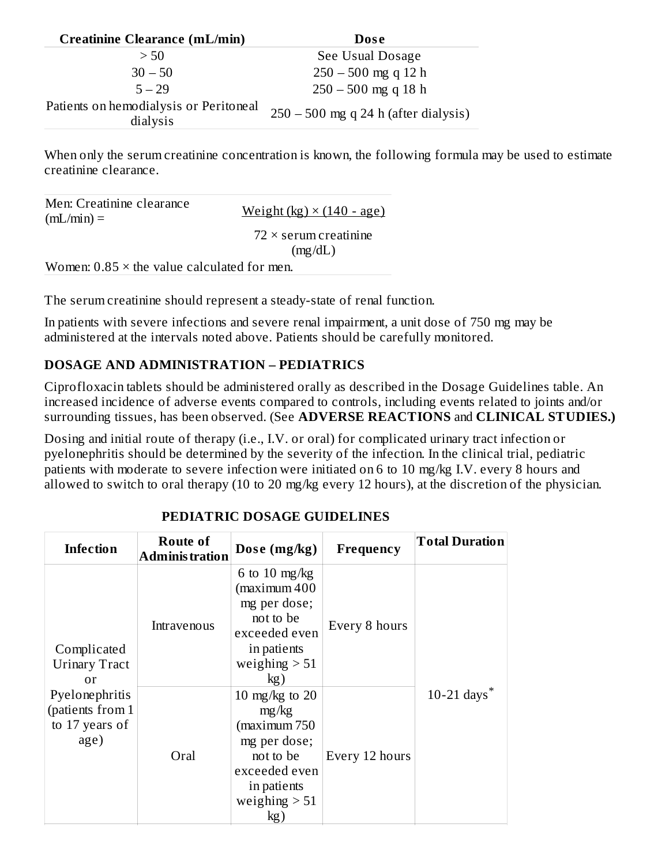| <b>Creatinine Clearance (mL/min)</b>               | <b>Dose</b>                            |
|----------------------------------------------------|----------------------------------------|
| > 50                                               | See Usual Dosage                       |
| $30 - 50$                                          | $250 - 500$ mg q 12 h                  |
| $5 - 29$                                           | $250 - 500$ mg q 18 h                  |
| Patients on hemodialysis or Peritoneal<br>dialysis | $250 - 500$ mg q 24 h (after dialysis) |

When only the serum creatinine concentration is known, the following formula may be used to estimate creatinine clearance.

| Men: Creatinine clearance<br>$(mL/min) =$          | <u>Weight (kg) <math>\times</math> (140 - age)</u> |
|----------------------------------------------------|----------------------------------------------------|
|                                                    | $72 \times$ serum creatinine<br>(mg/dL)            |
| Women: $0.85 \times$ the value calculated for men. |                                                    |

The serum creatinine should represent a steady-state of renal function.

In patients with severe infections and severe renal impairment, a unit dose of 750 mg may be administered at the intervals noted above. Patients should be carefully monitored.

### **DOSAGE AND ADMINISTRATION – PEDIATRICS**

Ciprofloxacin tablets should be administered orally as described in the Dosage Guidelines table. An increased incidence of adverse events compared to controls, including events related to joints and/or surrounding tissues, has been observed. (See **ADVERSE REACTIONS** and **CLINICAL STUDIES.)**

Dosing and initial route of therapy (i.e., I.V. or oral) for complicated urinary tract infection or pyelonephritis should be determined by the severity of the infection. In the clinical trial, pediatric patients with moderate to severe infection were initiated on 6 to 10 mg/kg I.V. every 8 hours and allowed to switch to oral therapy (10 to 20 mg/kg every 12 hours), at the discretion of the physician.

| <b>Infection</b>                                             | <b>Route of</b><br><b>Administration</b> | Dose (mg/kg)                                                                                                                     | Frequency      | <b>Total Duration</b>     |
|--------------------------------------------------------------|------------------------------------------|----------------------------------------------------------------------------------------------------------------------------------|----------------|---------------------------|
| Complicated<br><b>Urinary Tract</b><br>or                    | Intravenous                              | 6 to 10 mg/kg<br>(maximum 400<br>mg per dose;<br>not to be<br>exceeded even<br>in patients<br>weighing $> 51$<br>kg)             | Every 8 hours  |                           |
| Pyelonephritis<br>(patients from 1<br>to 17 years of<br>age) | Oral                                     | 10 mg/kg to $20$<br>mg/kg<br>(maximum 750<br>mg per dose;<br>not to be<br>exceeded even<br>in patients<br>weighing $> 51$<br>kg) | Every 12 hours | $10-21$ days <sup>*</sup> |

### **PEDIATRIC DOSAGE GUIDELINES**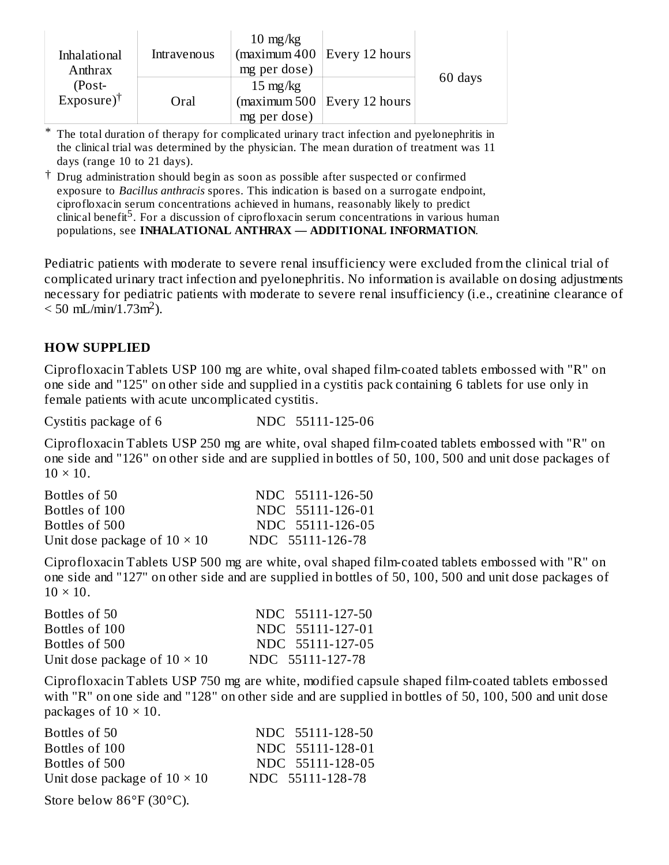| <b>Inhalational</b><br>Anthrax        | Intravenous | $10 \text{ mg/kg}$<br>mg per dose) | $\left(\frac{\text{maximum } 400}{\text{Every } 12 \text{ hours}}\right)$ |         |
|---------------------------------------|-------------|------------------------------------|---------------------------------------------------------------------------|---------|
| $(Post -$<br>$Exposure)$ <sup>†</sup> | Oral        | $15 \text{ mg/kg}$<br>mg per dose) | (maximum 500   Every 12 hours                                             | 60 days |

\* The total duration of therapy for complicated urinary tract infection and pyelonephritis in the clinical trial was determined by the physician. The mean duration of treatment was 11 days (range 10 to 21 days).

 $^\dagger$  Drug administration should begin as soon as possible after suspected or confirmed exposure to *Bacillus anthracis* spores. This indication is based on a surrogate endpoint, ciprofloxacin serum concentrations achieved in humans, reasonably likely to predict clinical benefit<sup>5</sup>. For a discussion of ciprofloxacin serum concentrations in various human populations, see **INHALATIONAL ANTHRAX — ADDITIONAL INFORMATION**.

Pediatric patients with moderate to severe renal insufficiency were excluded from the clinical trial of complicated urinary tract infection and pyelonephritis. No information is available on dosing adjustments necessary for pediatric patients with moderate to severe renal insufficiency (i.e., creatinine clearance of  $< 50 \text{ mL/min} / 1.73 \text{ m}^2$ ).

### **HOW SUPPLIED**

Ciprofloxacin Tablets USP 100 mg are white, oval shaped film-coated tablets embossed with "R" on one side and "125" on other side and supplied in a cystitis pack containing 6 tablets for use only in female patients with acute uncomplicated cystitis.

Cystitis package of 6 NDC 55111-125-06

Ciprofloxacin Tablets USP 250 mg are white, oval shaped film-coated tablets embossed with "R" on one side and "126" on other side and are supplied in bottles of 50, 100, 500 and unit dose packages of  $10 \times 10$ .

| Bottles of 50                       | NDC 55111-126-50 |
|-------------------------------------|------------------|
| Bottles of 100                      | NDC 55111-126-01 |
| Bottles of 500                      | NDC 55111-126-05 |
| Unit dose package of $10 \times 10$ | NDC 55111-126-78 |

Ciprofloxacin Tablets USP 500 mg are white, oval shaped film-coated tablets embossed with "R" on one side and "127" on other side and are supplied in bottles of 50, 100, 500 and unit dose packages of  $10 \times 10$ .

| Bottles of 50                       | NDC 55111-127-50 |
|-------------------------------------|------------------|
| Bottles of 100                      | NDC 55111-127-01 |
| Bottles of 500                      | NDC 55111-127-05 |
| Unit dose package of $10 \times 10$ | NDC 55111-127-78 |

Ciprofloxacin Tablets USP 750 mg are white, modified capsule shaped film-coated tablets embossed with "R" on one side and "128" on other side and are supplied in bottles of 50, 100, 500 and unit dose packages of  $10 \times 10$ .

| NDC 55111-128-50 |
|------------------|
| NDC 55111-128-01 |
| NDC 55111-128-05 |
| NDC 55111-128-78 |
|                  |

Store below 86°F (30°C).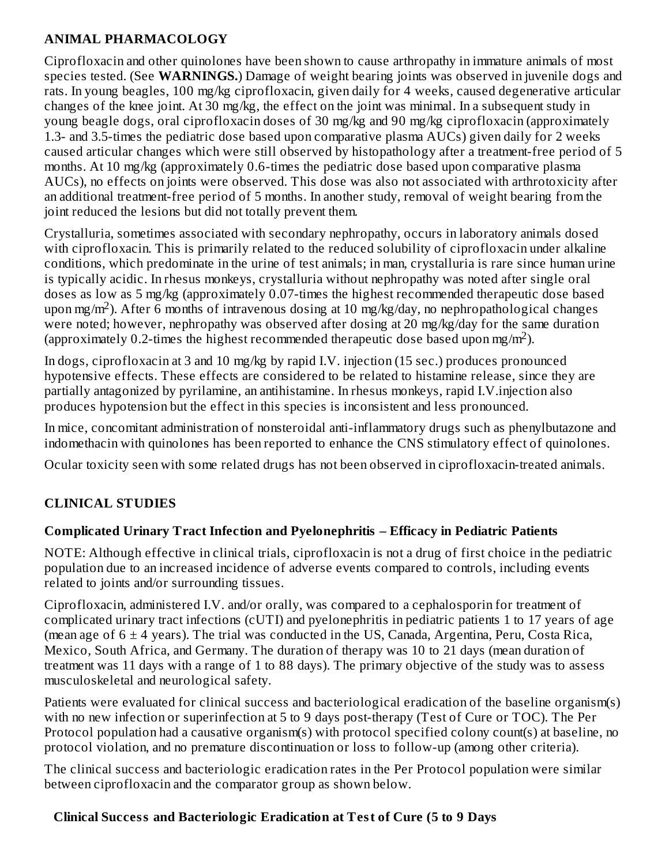### **ANIMAL PHARMACOLOGY**

Ciprofloxacin and other quinolones have been shown to cause arthropathy in immature animals of most species tested. (See **WARNINGS.**) Damage of weight bearing joints was observed in juvenile dogs and rats. In young beagles, 100 mg/kg ciprofloxacin, given daily for 4 weeks, caused degenerative articular changes of the knee joint. At 30 mg/kg, the effect on the joint was minimal. In a subsequent study in young beagle dogs, oral ciprofloxacin doses of 30 mg/kg and 90 mg/kg ciprofloxacin (approximately 1.3- and 3.5-times the pediatric dose based upon comparative plasma AUCs) given daily for 2 weeks caused articular changes which were still observed by histopathology after a treatment-free period of 5 months. At 10 mg/kg (approximately 0.6-times the pediatric dose based upon comparative plasma AUCs), no effects on joints were observed. This dose was also not associated with arthrotoxicity after an additional treatment-free period of 5 months. In another study, removal of weight bearing from the joint reduced the lesions but did not totally prevent them.

Crystalluria, sometimes associated with secondary nephropathy, occurs in laboratory animals dosed with ciprofloxacin. This is primarily related to the reduced solubility of ciprofloxacin under alkaline conditions, which predominate in the urine of test animals; in man, crystalluria is rare since human urine is typically acidic. In rhesus monkeys, crystalluria without nephropathy was noted after single oral doses as low as 5 mg/kg (approximately 0.07-times the highest recommended therapeutic dose based upon mg/m<sup>2</sup>). After 6 months of intravenous dosing at 10 mg/kg/day, no nephropathological changes were noted; however, nephropathy was observed after dosing at 20 mg/kg/day for the same duration (approximately 0.2-times the highest recommended therapeutic dose based upon mg/m<sup>2</sup>).

In dogs, ciprofloxacin at 3 and 10 mg/kg by rapid I.V. injection (15 sec.) produces pronounced hypotensive effects. These effects are considered to be related to histamine release, since they are partially antagonized by pyrilamine, an antihistamine. In rhesus monkeys, rapid I.V.injection also produces hypotension but the effect in this species is inconsistent and less pronounced.

In mice, concomitant administration of nonsteroidal anti-inflammatory drugs such as phenylbutazone and indomethacin with quinolones has been reported to enhance the CNS stimulatory effect of quinolones.

Ocular toxicity seen with some related drugs has not been observed in ciprofloxacin-treated animals.

# **CLINICAL STUDIES**

## **Complicated Urinary Tract Infection and Pyelonephritis – Efficacy in Pediatric Patients**

NOTE: Although effective in clinical trials, ciprofloxacin is not a drug of first choice in the pediatric population due to an increased incidence of adverse events compared to controls, including events related to joints and/or surrounding tissues.

Ciprofloxacin, administered I.V. and/or orally, was compared to a cephalosporin for treatment of complicated urinary tract infections (cUTI) and pyelonephritis in pediatric patients 1 to 17 years of age (mean age of  $6 \pm 4$  years). The trial was conducted in the US, Canada, Argentina, Peru, Costa Rica, Mexico, South Africa, and Germany. The duration of therapy was 10 to 21 days (mean duration of treatment was 11 days with a range of 1 to 88 days). The primary objective of the study was to assess musculoskeletal and neurological safety.

Patients were evaluated for clinical success and bacteriological eradication of the baseline organism(s) with no new infection or superinfection at 5 to 9 days post-therapy (Test of Cure or TOC). The Per Protocol population had a causative organism(s) with protocol specified colony count(s) at baseline, no protocol violation, and no premature discontinuation or loss to follow-up (among other criteria).

The clinical success and bacteriologic eradication rates in the Per Protocol population were similar between ciprofloxacin and the comparator group as shown below.

## **Clinical Success and Bacteriologic Eradication at Test of Cure (5 to 9 Days**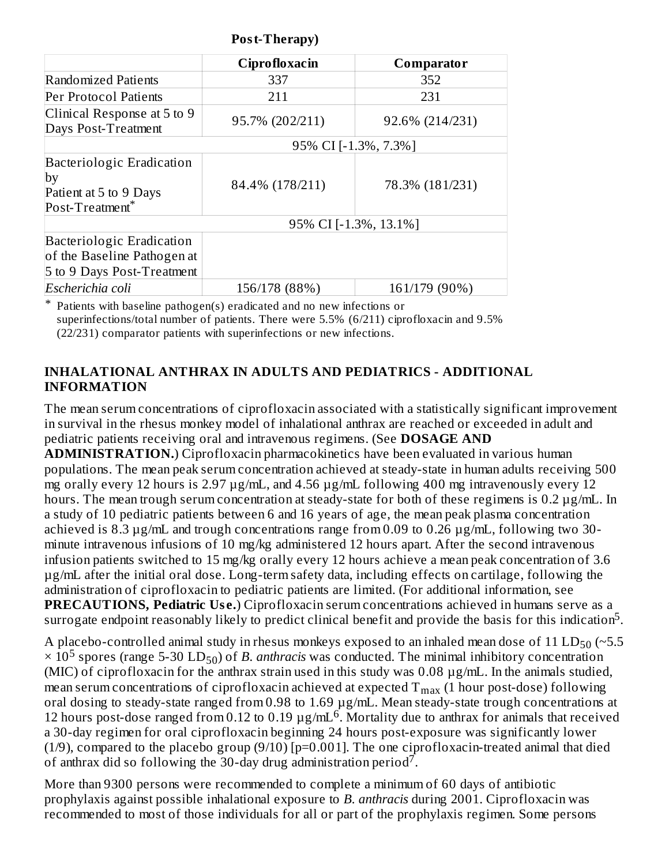|                                                    | Ciprofloxacin         | Comparator      |  |
|----------------------------------------------------|-----------------------|-----------------|--|
| Randomized Patients                                | 337                   | 352             |  |
| Per Protocol Patients                              | 211                   | 231             |  |
| Clinical Response at 5 to 9<br>Days Post-Treatment | 95.7% (202/211)       | 92.6% (214/231) |  |
|                                                    | 95% CI [-1.3%, 7.3%]  |                 |  |
| Bacteriologic Eradication                          |                       |                 |  |
| by<br>Patient at 5 to 9 Days<br>Post-Treatment*    | 84.4% (178/211)       | 78.3% (181/231) |  |
|                                                    | 95% CI [-1.3%, 13.1%] |                 |  |
| Bacteriologic Eradication                          |                       |                 |  |
| of the Baseline Pathogen at                        |                       |                 |  |
| 5 to 9 Days Post-Treatment                         |                       |                 |  |
| Escherichia coli                                   | 156/178 (88%)         | 161/179 (90%)   |  |

### **Post-Therapy)**

\* Patients with baseline pathogen(s) eradicated and no new infections or

superinfections/total number of patients. There were 5.5% (6/211) ciprofloxacin and 9.5%

(22/231) comparator patients with superinfections or new infections.

### **INHALATIONAL ANTHRAX IN ADULTS AND PEDIATRICS - ADDITIONAL INFORMATION**

The mean serum concentrations of ciprofloxacin associated with a statistically significant improvement in survival in the rhesus monkey model of inhalational anthrax are reached or exceeded in adult and pediatric patients receiving oral and intravenous regimens. (See **DOSAGE AND**

**ADMINISTRATION.**) Ciprofloxacin pharmacokinetics have been evaluated in various human populations. The mean peak serum concentration achieved at steady-state in human adults receiving 500 mg orally every 12 hours is 2.97 µg/mL, and 4.56 µg/mL following 400 mg intravenously every 12 hours. The mean trough serum concentration at steady-state for both of these regimens is 0.2 µg/mL. In a study of 10 pediatric patients between 6 and 16 years of age, the mean peak plasma concentration achieved is 8.3 µg/mL and trough concentrations range from 0.09 to 0.26 µg/mL, following two 30 minute intravenous infusions of 10 mg/kg administered 12 hours apart. After the second intravenous infusion patients switched to 15 mg/kg orally every 12 hours achieve a mean peak concentration of 3.6 µg/mL after the initial oral dose. Long-term safety data, including effects on cartilage, following the administration of ciprofloxacin to pediatric patients are limited. (For additional information, see **PRECAUTIONS, Pediatric Use.**) Ciprofloxacin serum concentrations achieved in humans serve as a surrogate endpoint reasonably likely to predict clinical benefit and provide the basis for this indication<sup>5</sup>.

A placebo-controlled animal study in rhesus monkeys exposed to an inhaled mean dose of  $11$   $LD_{50}$  (~5.5)  $\times$  10<sup>5</sup> spores (range 5-30 LD<sub>50</sub>) of *B. anthracis* was conducted. The minimal inhibitory concentration (MIC) of ciprofloxacin for the anthrax strain used in this study was 0.08 µg/mL. In the animals studied, mean serum concentrations of ciprofloxacin achieved at expected  $\rm T_{max}$  (1 hour post-dose) following oral dosing to steady-state ranged from 0.98 to 1.69 µg/mL. Mean steady-state trough concentrations at 12 hours post-dose ranged from 0.12 to 0.19  $\mu$ g/mL<sup>6</sup>. Mortality due to anthrax for animals that received a 30-day regimen for oral ciprofloxacin beginning 24 hours post-exposure was significantly lower  $(1/9)$ , compared to the placebo group  $(9/10)$  [p=0.001]. The one ciprofloxacin-treated animal that died of anthrax did so following the 30-day drug administration period<sup>7</sup>.

More than 9300 persons were recommended to complete a minimum of 60 days of antibiotic prophylaxis against possible inhalational exposure to *B. anthracis* during 2001. Ciprofloxacin was recommended to most of those individuals for all or part of the prophylaxis regimen. Some persons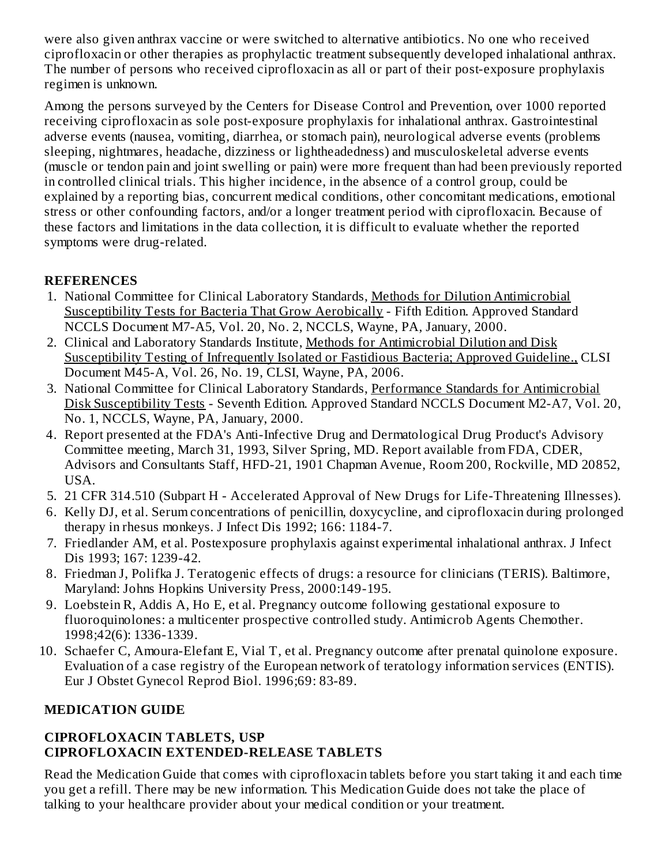were also given anthrax vaccine or were switched to alternative antibiotics. No one who received ciprofloxacin or other therapies as prophylactic treatment subsequently developed inhalational anthrax. The number of persons who received ciprofloxacin as all or part of their post-exposure prophylaxis regimen is unknown.

Among the persons surveyed by the Centers for Disease Control and Prevention, over 1000 reported receiving ciprofloxacin as sole post-exposure prophylaxis for inhalational anthrax. Gastrointestinal adverse events (nausea, vomiting, diarrhea, or stomach pain), neurological adverse events (problems sleeping, nightmares, headache, dizziness or lightheadedness) and musculoskeletal adverse events (muscle or tendon pain and joint swelling or pain) were more frequent than had been previously reported in controlled clinical trials. This higher incidence, in the absence of a control group, could be explained by a reporting bias, concurrent medical conditions, other concomitant medications, emotional stress or other confounding factors, and/or a longer treatment period with ciprofloxacin. Because of these factors and limitations in the data collection, it is difficult to evaluate whether the reported symptoms were drug-related.

## **REFERENCES**

- 1. National Committee for Clinical Laboratory Standards, Methods for Dilution Antimicrobial Susceptibility Tests for Bacteria That Grow Aerobically - Fifth Edition. Approved Standard NCCLS Document M7-A5, Vol. 20, No. 2, NCCLS, Wayne, PA, January, 2000.
- 2. Clinical and Laboratory Standards Institute, Methods for Antimicrobial Dilution and Disk Susceptibility Testing of Infrequently Isolated or Fastidious Bacteria; Approved Guideline., CLSI Document M45-A, Vol. 26, No. 19, CLSI, Wayne, PA, 2006.
- 3. National Committee for Clinical Laboratory Standards, Performance Standards for Antimicrobial Disk Susceptibility Tests - Seventh Edition. Approved Standard NCCLS Document M2-A7, Vol. 20, No. 1, NCCLS, Wayne, PA, January, 2000.
- 4. Report presented at the FDA's Anti-Infective Drug and Dermatological Drug Product's Advisory Committee meeting, March 31, 1993, Silver Spring, MD. Report available from FDA, CDER, Advisors and Consultants Staff, HFD-21, 1901 Chapman Avenue, Room 200, Rockville, MD 20852, USA.
- 5. 21 CFR 314.510 (Subpart H Accelerated Approval of New Drugs for Life-Threatening Illnesses).
- 6. Kelly DJ, et al. Serum concentrations of penicillin, doxycycline, and ciprofloxacin during prolonged therapy in rhesus monkeys. J Infect Dis 1992; 166: 1184-7.
- 7. Friedlander AM, et al. Postexposure prophylaxis against experimental inhalational anthrax. J Infect Dis 1993; 167: 1239-42.
- 8. Friedman J, Polifka J. Teratogenic effects of drugs: a resource for clinicians (TERIS). Baltimore, Maryland: Johns Hopkins University Press, 2000:149-195.
- 9. Loebstein R, Addis A, Ho E, et al. Pregnancy outcome following gestational exposure to fluoroquinolones: a multicenter prospective controlled study. Antimicrob Agents Chemother. 1998;42(6): 1336-1339.
- 10. Schaefer C, Amoura-Elefant E, Vial T, et al. Pregnancy outcome after prenatal quinolone exposure. Evaluation of a case registry of the European network of teratology information services (ENTIS). Eur J Obstet Gynecol Reprod Biol. 1996;69: 83-89.

## **MEDICATION GUIDE**

### **CIPROFLOXACIN TABLETS, USP CIPROFLOXACIN EXTENDED-RELEASE TABLETS**

Read the Medication Guide that comes with ciprofloxacin tablets before you start taking it and each time you get a refill. There may be new information. This Medication Guide does not take the place of talking to your healthcare provider about your medical condition or your treatment.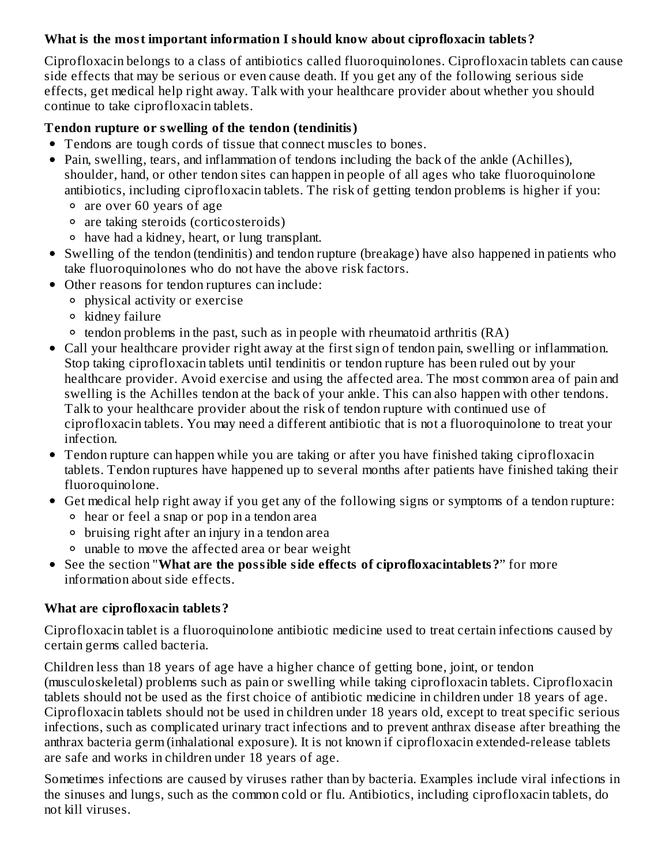### **What is the most important information I should know about ciprofloxacin tablets?**

Ciprofloxacin belongs to a class of antibiotics called fluoroquinolones. Ciprofloxacin tablets can cause side effects that may be serious or even cause death. If you get any of the following serious side effects, get medical help right away. Talk with your healthcare provider about whether you should continue to take ciprofloxacin tablets.

### **Tendon rupture or swelling of the tendon (tendinitis)**

- Tendons are tough cords of tissue that connect muscles to bones.
- Pain, swelling, tears, and inflammation of tendons including the back of the ankle (Achilles), shoulder, hand, or other tendon sites can happen in people of all ages who take fluoroquinolone antibiotics, including ciprofloxacin tablets. The risk of getting tendon problems is higher if you:
	- are over 60 years of age
	- are taking steroids (corticosteroids)
	- have had a kidney, heart, or lung transplant.
- Swelling of the tendon (tendinitis) and tendon rupture (breakage) have also happened in patients who take fluoroquinolones who do not have the above risk factors.
- Other reasons for tendon ruptures can include:
	- physical activity or exercise
		- **o** kidney failure
	- $\circ$  tendon problems in the past, such as in people with rheumatoid arthritis (RA)
- Call your healthcare provider right away at the first sign of tendon pain, swelling or inflammation. Stop taking ciprofloxacin tablets until tendinitis or tendon rupture has been ruled out by your healthcare provider. Avoid exercise and using the affected area. The most common area of pain and swelling is the Achilles tendon at the back of your ankle. This can also happen with other tendons. Talk to your healthcare provider about the risk of tendon rupture with continued use of ciprofloxacin tablets. You may need a different antibiotic that is not a fluoroquinolone to treat your infection.
- Tendon rupture can happen while you are taking or after you have finished taking ciprofloxacin tablets. Tendon ruptures have happened up to several months after patients have finished taking their fluoroquinolone.
- Get medical help right away if you get any of the following signs or symptoms of a tendon rupture:
	- hear or feel a snap or pop in a tendon area
	- bruising right after an injury in a tendon area
	- unable to move the affected area or bear weight
- See the section "**What are the possible side effects of ciprofloxacintablets?**" for more information about side effects.

## **What are ciprofloxacin tablets?**

Ciprofloxacin tablet is a fluoroquinolone antibiotic medicine used to treat certain infections caused by certain germs called bacteria.

Children less than 18 years of age have a higher chance of getting bone, joint, or tendon (musculoskeletal) problems such as pain or swelling while taking ciprofloxacin tablets. Ciprofloxacin tablets should not be used as the first choice of antibiotic medicine in children under 18 years of age. Ciprofloxacin tablets should not be used in children under 18 years old, except to treat specific serious infections, such as complicated urinary tract infections and to prevent anthrax disease after breathing the anthrax bacteria germ (inhalational exposure). It is not known if ciprofloxacin extended-release tablets are safe and works in children under 18 years of age.

Sometimes infections are caused by viruses rather than by bacteria. Examples include viral infections in the sinuses and lungs, such as the common cold or flu. Antibiotics, including ciprofloxacin tablets, do not kill viruses.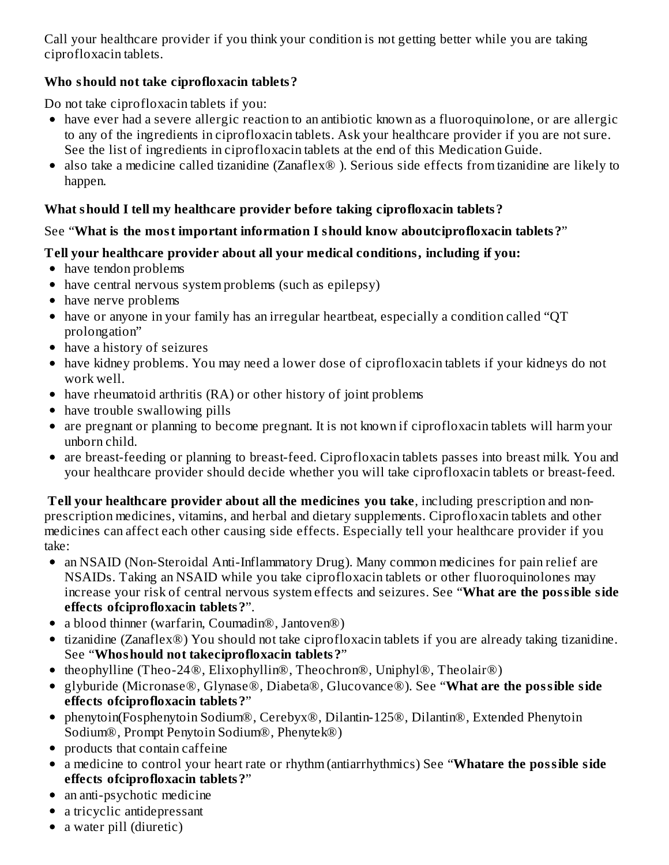Call your healthcare provider if you think your condition is not getting better while you are taking ciprofloxacin tablets.

# **Who should not take ciprofloxacin tablets?**

Do not take ciprofloxacin tablets if you:

- have ever had a severe allergic reaction to an antibiotic known as a fluoroquinolone, or are allergic to any of the ingredients in ciprofloxacin tablets. Ask your healthcare provider if you are not sure. See the list of ingredients in ciprofloxacin tablets at the end of this Medication Guide.
- also take a medicine called tizanidine (Zanaflex®). Serious side effects from tizanidine are likely to happen.

# **What should I tell my healthcare provider before taking ciprofloxacin tablets?**

# See "**What is the most important information I should know aboutciprofloxacin tablets?**"

# **Tell your healthcare provider about all your medical conditions, including if you:**

- have tendon problems
- have central nervous system problems (such as epilepsy)
- have nerve problems
- have or anyone in your family has an irregular heartbeat, especially a condition called "QT prolongation"
- have a history of seizures
- have kidney problems. You may need a lower dose of ciprofloxacin tablets if your kidneys do not work well.
- have rheumatoid arthritis (RA) or other history of joint problems
- have trouble swallowing pills
- are pregnant or planning to become pregnant. It is not known if ciprofloxacin tablets will harm your unborn child.
- are breast-feeding or planning to breast-feed. Ciprofloxacin tablets passes into breast milk. You and your healthcare provider should decide whether you will take ciprofloxacin tablets or breast-feed.

**Tell your healthcare provider about all the medicines you take**, including prescription and nonprescription medicines, vitamins, and herbal and dietary supplements. Ciprofloxacin tablets and other medicines can affect each other causing side effects. Especially tell your healthcare provider if you take:

- an NSAID (Non-Steroidal Anti-Inflammatory Drug). Many common medicines for pain relief are NSAIDs. Taking an NSAID while you take ciprofloxacin tablets or other fluoroquinolones may increase your risk of central nervous system effects and seizures. See "**What are the possible side effects ofciprofloxacin tablets?**".
- a blood thinner (warfarin, Coumadin®, Jantoven®)
- tizanidine (Zanaflex®) You should not take ciprofloxacin tablets if you are already taking tizanidine. See "**Whoshould not takeciprofloxacin tablets?**"
- theophylline (Theo-24®, Elixophyllin®, Theochron®, Uniphyl®, Theolair®)
- glyburide (Micronase®, Glynase®, Diabeta®, Glucovance®). See "**What are the possible side effects ofciprofloxacin tablets?**"
- phenytoin(Fosphenytoin Sodium®, Cerebyx®, Dilantin-125®, Dilantin®, Extended Phenytoin Sodium®, Prompt Penytoin Sodium®, Phenytek®)
- products that contain caffeine
- a medicine to control your heart rate or rhythm (antiarrhythmics) See "**Whatare the possible side effects ofciprofloxacin tablets?**"
- an anti-psychotic medicine
- a tricyclic antidepressant
- a water pill (diuretic)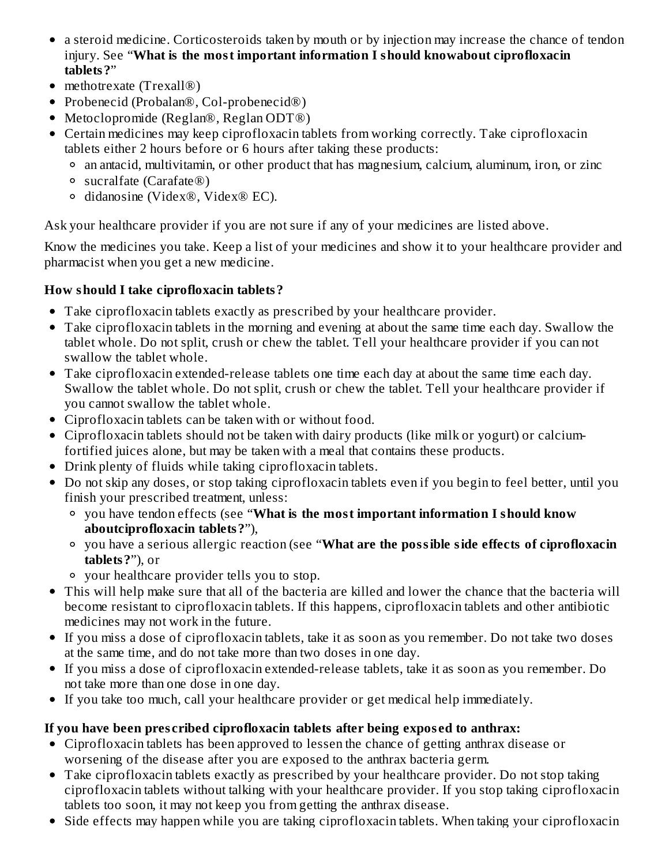- a steroid medicine. Corticosteroids taken by mouth or by injection may increase the chance of tendon injury. See "**What is the most important information I should knowabout ciprofloxacin tablets?**"
- methotrexate (Trexall®)
- Probenecid (Probalan®, Col-probenecid®)
- Metoclopromide (Reglan®, Reglan ODT®)
- Certain medicines may keep ciprofloxacin tablets from working correctly. Take ciprofloxacin tablets either 2 hours before or 6 hours after taking these products:
	- an antacid, multivitamin, or other product that has magnesium, calcium, aluminum, iron, or zinc
	- sucralfate (Carafate®)
	- didanosine (Videx®, Videx® EC).

Ask your healthcare provider if you are not sure if any of your medicines are listed above.

Know the medicines you take. Keep a list of your medicines and show it to your healthcare provider and pharmacist when you get a new medicine.

# **How should I take ciprofloxacin tablets?**

- Take ciprofloxacin tablets exactly as prescribed by your healthcare provider.
- Take ciprofloxacin tablets in the morning and evening at about the same time each day. Swallow the tablet whole. Do not split, crush or chew the tablet. Tell your healthcare provider if you can not swallow the tablet whole.
- Take ciprofloxacin extended-release tablets one time each day at about the same time each day. Swallow the tablet whole. Do not split, crush or chew the tablet. Tell your healthcare provider if you cannot swallow the tablet whole.
- Ciprofloxacin tablets can be taken with or without food.
- Ciprofloxacin tablets should not be taken with dairy products (like milk or yogurt) or calciumfortified juices alone, but may be taken with a meal that contains these products.
- Drink plenty of fluids while taking ciprofloxacin tablets.
- Do not skip any doses, or stop taking ciprofloxacin tablets even if you begin to feel better, until you finish your prescribed treatment, unless:
	- you have tendon effects (see "**What is the most important information I should know aboutciprofloxacin tablets?**"),
	- you have a serious allergic reaction (see "**What are the possible side effects of ciprofloxacin tablets?**"), or
	- your healthcare provider tells you to stop.
- This will help make sure that all of the bacteria are killed and lower the chance that the bacteria will become resistant to ciprofloxacin tablets. If this happens, ciprofloxacin tablets and other antibiotic medicines may not work in the future.
- If you miss a dose of ciprofloxacin tablets, take it as soon as you remember. Do not take two doses at the same time, and do not take more than two doses in one day.
- If you miss a dose of ciprofloxacin extended-release tablets, take it as soon as you remember. Do not take more than one dose in one day.
- If you take too much, call your healthcare provider or get medical help immediately.

# **If you have been pres cribed ciprofloxacin tablets after being expos ed to anthrax:**

- Ciprofloxacin tablets has been approved to lessen the chance of getting anthrax disease or worsening of the disease after you are exposed to the anthrax bacteria germ.
- Take ciprofloxacin tablets exactly as prescribed by your healthcare provider. Do not stop taking ciprofloxacin tablets without talking with your healthcare provider. If you stop taking ciprofloxacin tablets too soon, it may not keep you from getting the anthrax disease.
- Side effects may happen while you are taking ciprofloxacin tablets. When taking your ciprofloxacin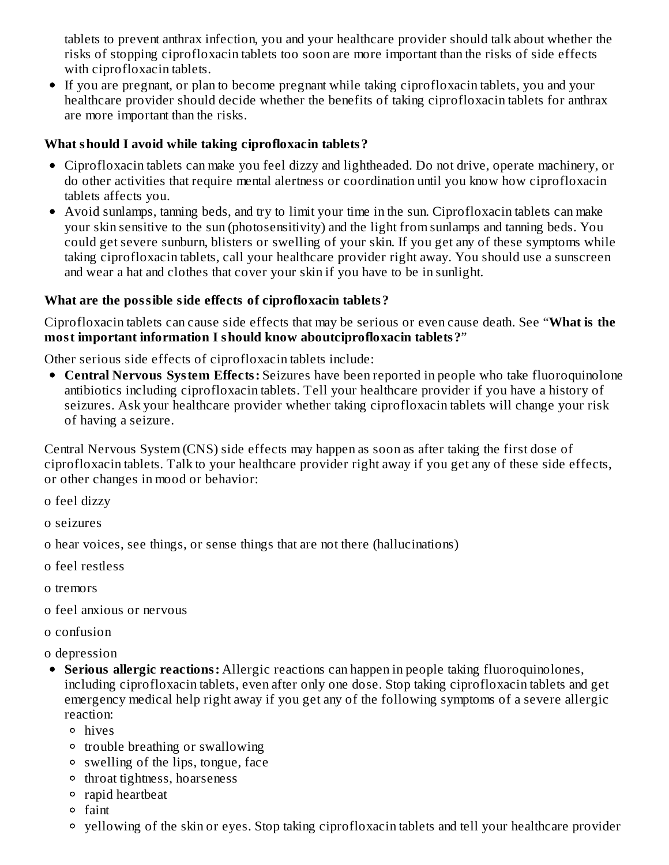tablets to prevent anthrax infection, you and your healthcare provider should talk about whether the risks of stopping ciprofloxacin tablets too soon are more important than the risks of side effects with ciprofloxacin tablets.

If you are pregnant, or plan to become pregnant while taking ciprofloxacin tablets, you and your healthcare provider should decide whether the benefits of taking ciprofloxacin tablets for anthrax are more important than the risks.

### **What should I avoid while taking ciprofloxacin tablets?**

- Ciprofloxacin tablets can make you feel dizzy and lightheaded. Do not drive, operate machinery, or do other activities that require mental alertness or coordination until you know how ciprofloxacin tablets affects you.
- Avoid sunlamps, tanning beds, and try to limit your time in the sun. Ciprofloxacin tablets can make your skin sensitive to the sun (photosensitivity) and the light from sunlamps and tanning beds. You could get severe sunburn, blisters or swelling of your skin. If you get any of these symptoms while taking ciprofloxacin tablets, call your healthcare provider right away. You should use a sunscreen and wear a hat and clothes that cover your skin if you have to be in sunlight.

### **What are the possible side effects of ciprofloxacin tablets?**

Ciprofloxacin tablets can cause side effects that may be serious or even cause death. See "**What is the most important information I should know aboutciprofloxacin tablets?**"

Other serious side effects of ciprofloxacin tablets include:

**Central Nervous System Effects:** Seizures have been reported in people who take fluoroquinolone antibiotics including ciprofloxacin tablets. Tell your healthcare provider if you have a history of seizures. Ask your healthcare provider whether taking ciprofloxacin tablets will change your risk of having a seizure.

Central Nervous System (CNS) side effects may happen as soon as after taking the first dose of ciprofloxacin tablets. Talk to your healthcare provider right away if you get any of these side effects, or other changes in mood or behavior:

o feel dizzy

o seizures

- o hear voices, see things, or sense things that are not there (hallucinations)
- o feel restless
- o tremors
- o feel anxious or nervous
- o confusion
- o depression
- **Serious allergic reactions:** Allergic reactions can happen in people taking fluoroquinolones, including ciprofloxacin tablets, even after only one dose. Stop taking ciprofloxacin tablets and get emergency medical help right away if you get any of the following symptoms of a severe allergic reaction:
	- hives
	- trouble breathing or swallowing
	- swelling of the lips, tongue, face
	- <sup>o</sup> throat tightness, hoarseness
	- rapid heartbeat
	- $o$  faint
	- yellowing of the skin or eyes. Stop taking ciprofloxacin tablets and tell your healthcare provider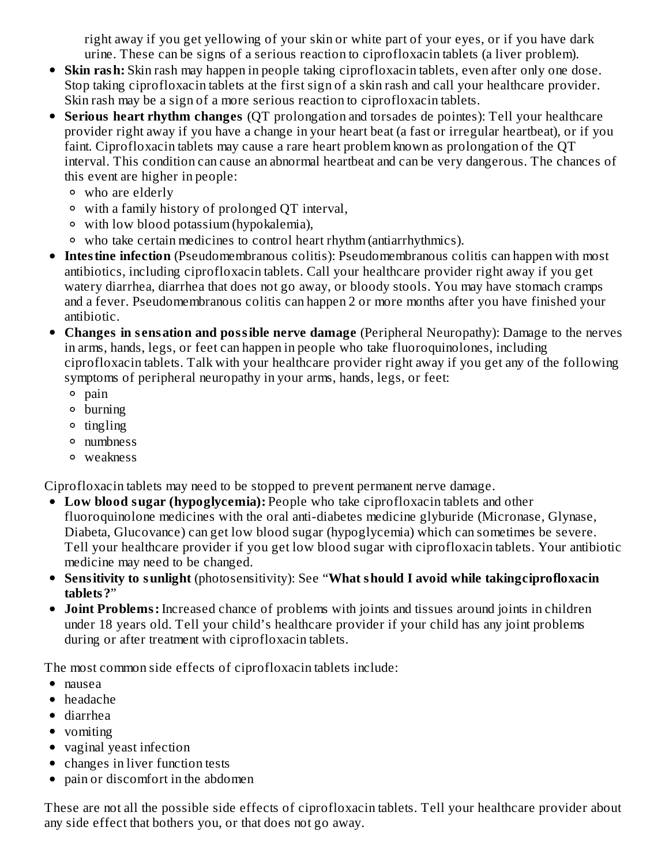right away if you get yellowing of your skin or white part of your eyes, or if you have dark urine. These can be signs of a serious reaction to ciprofloxacin tablets (a liver problem).

- **Skin rash:** Skin rash may happen in people taking ciprofloxacin tablets, even after only one dose. Stop taking ciprofloxacin tablets at the first sign of a skin rash and call your healthcare provider. Skin rash may be a sign of a more serious reaction to ciprofloxacin tablets.
- **Serious heart rhythm changes** (QT prolongation and torsades de pointes): Tell your healthcare provider right away if you have a change in your heart beat (a fast or irregular heartbeat), or if you faint. Ciprofloxacin tablets may cause a rare heart problem known as prolongation of the QT interval. This condition can cause an abnormal heartbeat and can be very dangerous. The chances of this event are higher in people:
	- who are elderly
	- with a family history of prolonged QT interval,
	- with low blood potassium (hypokalemia),
	- who take certain medicines to control heart rhythm (antiarrhythmics).
- **Intestine infection** (Pseudomembranous colitis): Pseudomembranous colitis can happen with most antibiotics, including ciprofloxacin tablets. Call your healthcare provider right away if you get watery diarrhea, diarrhea that does not go away, or bloody stools. You may have stomach cramps and a fever. Pseudomembranous colitis can happen 2 or more months after you have finished your antibiotic.
- **Changes in s ensation and possible nerve damage** (Peripheral Neuropathy): Damage to the nerves in arms, hands, legs, or feet can happen in people who take fluoroquinolones, including ciprofloxacin tablets. Talk with your healthcare provider right away if you get any of the following symptoms of peripheral neuropathy in your arms, hands, legs, or feet:
	- $\circ$  pain
	- burning
	- $\circ$  tingling
	- numbness
	- weakness

Ciprofloxacin tablets may need to be stopped to prevent permanent nerve damage.

- **Low blood sugar (hypoglycemia):** People who take ciprofloxacin tablets and other fluoroquinolone medicines with the oral anti-diabetes medicine glyburide (Micronase, Glynase, Diabeta, Glucovance) can get low blood sugar (hypoglycemia) which can sometimes be severe. Tell your healthcare provider if you get low blood sugar with ciprofloxacin tablets. Your antibiotic medicine may need to be changed.
- **Sensitivity to sunlight** (photosensitivity): See "**What should I avoid while takingciprofloxacin tablets?**"
- **Joint Problems:** Increased chance of problems with joints and tissues around joints in children under 18 years old. Tell your child's healthcare provider if your child has any joint problems during or after treatment with ciprofloxacin tablets.

The most common side effects of ciprofloxacin tablets include:

- nausea
- headache
- diarrhea
- vomiting
- vaginal yeast infection
- changes in liver function tests
- pain or discomfort in the abdomen

These are not all the possible side effects of ciprofloxacin tablets. Tell your healthcare provider about any side effect that bothers you, or that does not go away.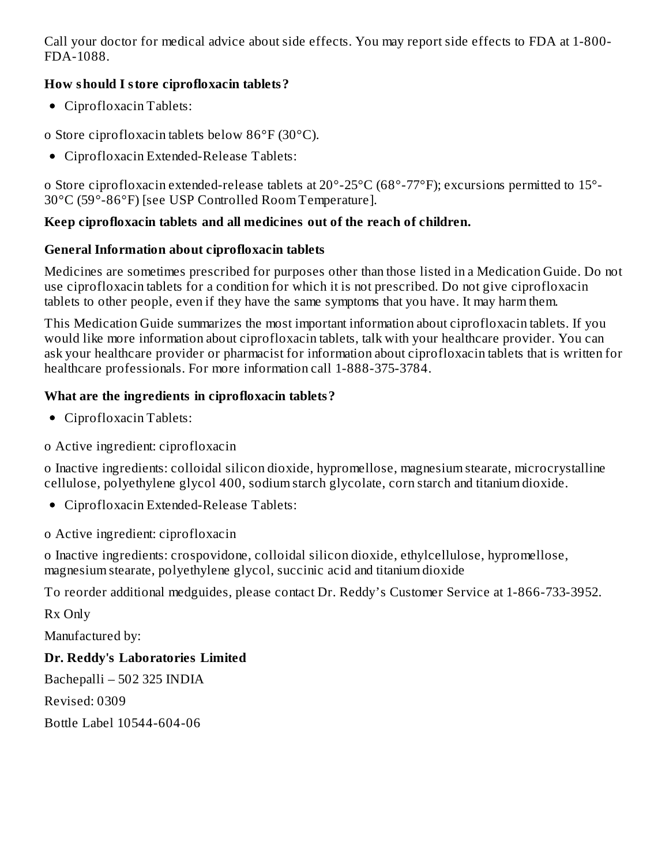Call your doctor for medical advice about side effects. You may report side effects to FDA at 1-800- FDA-1088.

### **How should I store ciprofloxacin tablets?**

• Ciprofloxacin Tablets:

o Store ciprofloxacin tablets below 86°F (30°C).

Ciprofloxacin Extended-Release Tablets:

o Store ciprofloxacin extended-release tablets at 20°-25°C (68°-77°F); excursions permitted to 15°- 30°C (59°-86°F) [see USP Controlled Room Temperature].

## **Keep ciprofloxacin tablets and all medicines out of the reach of children.**

### **General Information about ciprofloxacin tablets**

Medicines are sometimes prescribed for purposes other than those listed in a Medication Guide. Do not use ciprofloxacin tablets for a condition for which it is not prescribed. Do not give ciprofloxacin tablets to other people, even if they have the same symptoms that you have. It may harm them.

This Medication Guide summarizes the most important information about ciprofloxacin tablets. If you would like more information about ciprofloxacin tablets, talk with your healthcare provider. You can ask your healthcare provider or pharmacist for information about ciprofloxacin tablets that is written for healthcare professionals. For more information call 1-888-375-3784.

## **What are the ingredients in ciprofloxacin tablets?**

- Ciprofloxacin Tablets:
- o Active ingredient: ciprofloxacin

o Inactive ingredients: colloidal silicon dioxide, hypromellose, magnesium stearate, microcrystalline cellulose, polyethylene glycol 400, sodium starch glycolate, corn starch and titanium dioxide.

Ciprofloxacin Extended-Release Tablets:

o Active ingredient: ciprofloxacin

o Inactive ingredients: crospovidone, colloidal silicon dioxide, ethylcellulose, hypromellose, magnesium stearate, polyethylene glycol, succinic acid and titanium dioxide

To reorder additional medguides, please contact Dr. Reddy's Customer Service at 1-866-733-3952.

Rx Only

Manufactured by:

## **Dr. Reddy's Laboratories Limited**

Bachepalli – 502 325 INDIA

Revised: 0309

Bottle Label 10544-604-06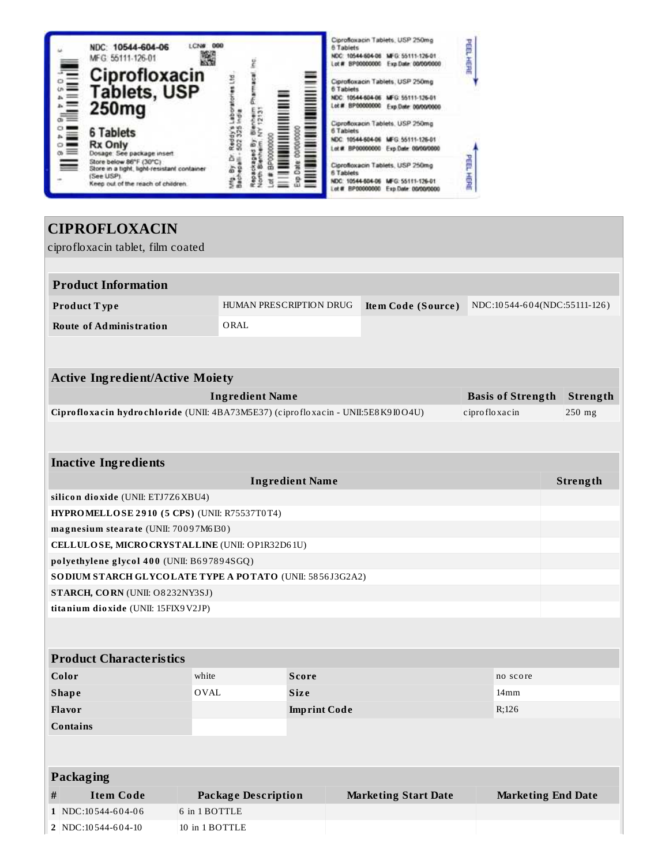

| <b>CIPROFLOXACIN</b>                                                             |                                    |                                                                               |                          |                  |        |
|----------------------------------------------------------------------------------|------------------------------------|-------------------------------------------------------------------------------|--------------------------|------------------|--------|
| ciprofloxacin tablet, film coated                                                |                                    |                                                                               |                          |                  |        |
|                                                                                  |                                    |                                                                               |                          |                  |        |
| <b>Product Information</b>                                                       |                                    |                                                                               |                          |                  |        |
| Product Type                                                                     |                                    | HUMAN PRESCRIPTION DRUG<br>Item Code (Source)<br>NDC:10544-604(NDC:55111-126) |                          |                  |        |
| <b>Route of Administration</b>                                                   | ORAL                               |                                                                               |                          |                  |        |
|                                                                                  |                                    |                                                                               |                          |                  |        |
|                                                                                  |                                    |                                                                               |                          |                  |        |
| <b>Active Ingredient/Active Moiety</b>                                           |                                    |                                                                               |                          |                  |        |
| <b>Ingredient Name</b>                                                           |                                    |                                                                               | <b>Basis of Strength</b> | Strength         |        |
| Ciprofloxacin hydrochloride (UNII: 4BA73M5E37) (ciprofloxacin - UNII:5E8K910O4U) |                                    |                                                                               |                          | ciprofloxacin    | 250 mg |
|                                                                                  |                                    |                                                                               |                          |                  |        |
| <b>Inactive Ingredients</b>                                                      |                                    |                                                                               |                          |                  |        |
|                                                                                  | <b>Ingredient Name</b><br>Strength |                                                                               |                          |                  |        |
| silicon dioxide (UNII: ETJ7Z6XBU4)                                               |                                    |                                                                               |                          |                  |        |
| HYPROMELLOSE 2910 (5 CPS) (UNII: R75537T0T4)                                     |                                    |                                                                               |                          |                  |        |
| magnesium stearate (UNII: 70097M6I30)                                            |                                    |                                                                               |                          |                  |        |
| CELLULOSE, MICRO CRYSTALLINE (UNII: OP1R32D61U)                                  |                                    |                                                                               |                          |                  |        |
| polyethylene glycol 400 (UNII: B697894SGQ)                                       |                                    |                                                                               |                          |                  |        |
| SO DIUM STARCH GLYCOLATE TYPE A POTATO (UNII: 5856J3G2A2)                        |                                    |                                                                               |                          |                  |        |
| <b>STARCH, CORN (UNII: O8232NY3SJ)</b>                                           |                                    |                                                                               |                          |                  |        |
| titanium dioxide (UNII: 15FIX9V2JP)                                              |                                    |                                                                               |                          |                  |        |
|                                                                                  |                                    |                                                                               |                          |                  |        |
| <b>Product Characteristics</b>                                                   |                                    |                                                                               |                          |                  |        |
| Color                                                                            | white                              | <b>Score</b>                                                                  |                          | no score         |        |
| <b>Shape</b>                                                                     | <b>OVAL</b>                        | <b>Size</b>                                                                   |                          | 14 <sub>mm</sub> |        |
| <b>Flavor</b>                                                                    |                                    | <b>Imprint Code</b>                                                           |                          | R;126            |        |
|                                                                                  |                                    |                                                                               |                          |                  |        |
| <b>Contains</b>                                                                  |                                    |                                                                               |                          |                  |        |

# **Packaging # Item Code Package Description Marketing Start Date Marketing End Date 1** NDC:10544-604-06 6 in 1 BOTTLE **2** NDC:10 544-604-10 10 in 1 BOTTLE